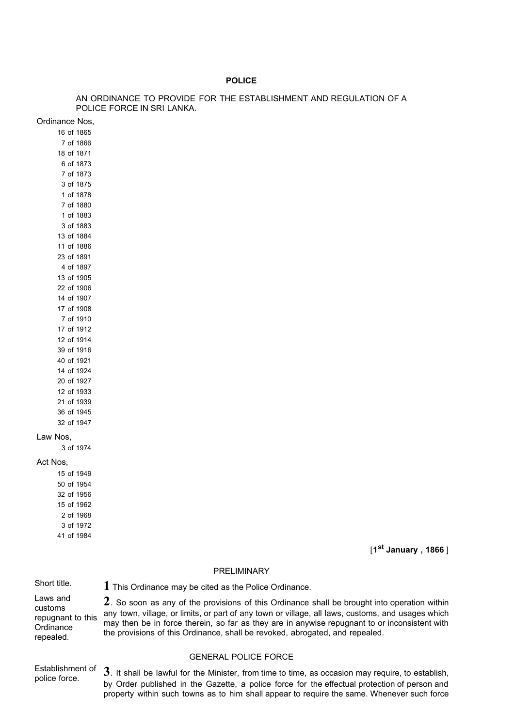## **POLICE**

## AN ORDINANCE TO PROVIDE FOR THE ESTABLISHMENT AND REGULATION OF A POLICE FORCE IN SRI LANKA.

Ordinance Nos,

### Act Nos,

[**1st January , 1866** ]

## PRELIMINARY

Laws and customs repugnant to this **Ordinance** repealed.

Short title. **1** This Ordinance may be cited as the Police Ordinance.

**2**. So soon as any of the provisions of this Ordinance shall be brought into operation within any town, village, or limits, or part of any town or village, all laws, customs, and usages which may then be in force therein, so far as they are in anywise repugnant to or inconsistent with the provisions of this Ordinance, shall be revoked, abrogated, and repealed.

## GENERAL POLICE FORCE

Establishment of Establishment of 3. It shall be lawful for the Minister, from time to time, as occasion may require, to establish, by Order published in the Gazette, a police force for the effectual protection of person and property within such towns as to him shall appear to require the same. Whenever such force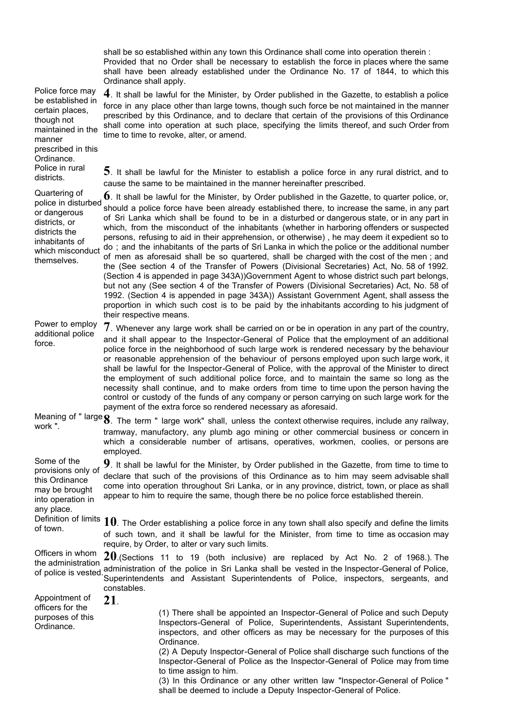shall be so established within any town this Ordinance shall come into operation therein : Provided that no Order shall be necessary to establish the force in places where the same shall have been already established under the Ordinance No. 17 of 1844, to which this Ordinance shall apply.

Police force may be established in maintained in the **4**. It shall be lawful for the Minister, by Order published in the Gazette, to establish a police force in any place other than large towns, though such force be not maintained in the manner prescribed by this Ordinance, and to declare that certain of the provisions of this Ordinance shall come into operation at such place, specifying the limits thereof, and such Order from time to time to revoke, alter, or amend.

certain places, though not

prescribed in this Ordinance.

Police in rural

manner

districts. **5**. It shall be lawful for the Minister to establish a police force in any rural district, and to cause the same to be maintained in the manner hereinafter prescribed.

Quartering of police in disturbed or dangerous districts, or districts the inhabitants of which misconduct themselves. **6**. It shall be lawful for the Minister, by Order published in the Gazette, to quarter police, or, should a police force have been already established there, to increase the same, in any part of Sri Lanka which shall be found to be in a disturbed or dangerous state, or in any part in which, from the misconduct of the inhabitants (whether in harboring offenders or suspected persons, refusing to aid in their apprehension, or otherwise) , he may deem it expedient so to do ; and the inhabitants of the parts of Sri Lanka in which the police or the additional number of men as aforesaid shall be so quartered, shall be charged with the cost of the men ; and the (See section 4 of the Transfer of Powers (Divisional Secretaries) Act, No. 58 of 1992. (Section 4 is appended in page 343A))Government Agent to whose district such part belongs, but not any (See section 4 of the Transfer of Powers (Divisional Secretaries) Act, No. 58 of 1992. (Section 4 is appended in page 343A)) Assistant Government Agent, shall assess the proportion in which such cost is to be paid by the inhabitants according to his judgment of their respective means.

Power to employ additional police force. **7**. Whenever any large work shall be carried on or be in operation in any part of the country, and it shall appear to the Inspector-General of Police that the employment of an additional police force in the neighborhood of such large work is rendered necessary by the behaviour or reasonable apprehension of the behaviour of persons employed upon such large work, it shall be lawful for the Inspector-General of Police, with the approval of the Minister to direct the employment of such additional police force, and to maintain the same so long as the necessity shall continue, and to make orders from time to time upon the person having the control or custody of the funds of any company or person carrying on such large work for the payment of the extra force so rendered necessary as aforesaid.

Meaning of " large **8**. The term " large work" shall, unless the context otherwise requires, include any railway,<br>work ". tramway, manufactory, any plumb ago mining or other commercial business or concern in which a considerable number of artisans, operatives, workmen, coolies, or persons are employed.

Some of the provisions only of this Ordinance may be brought into operation in any place. **9**. It shall be lawful for the Minister, by Order published in the Gazette, from time to time to declare that such of the provisions of this Ordinance as to him may seem advisable shall come into operation throughout Sri Lanka, or in any province, district, town, or place as shall appear to him to require the same, though there be no police force established therein.

Definition of limits **10**. The Order establishing a police force in any town shall also specify and define the limits of town. of such town, and it shall be lawful for the Minister, from time to time as occasion may require, by Order, to alter or vary such limits.

Officers in whom the administration and administration administration of the police in Sri Lanka shall be vested in the Inspector-General of Police,<br>of police is vested. Our printer darks and Assistant, Our printer last, and Police, increases a compact, and **20**.(Sections 11 to 19 (both inclusive) are replaced by Act No. 2 of 1968.). The Superintendents and Assistant Superintendents of Police, inspectors, sergeants, and constables.

Appointment of officers for the purposes of this Ordinance. **21**. (1) There shall be appointed an Inspector-General of Police and such Deputy Inspectors-General of Police, Superintendents, Assistant Superintendents, inspectors, and other officers as may be necessary for the purposes of this Ordinance. (2) A Deputy Inspector-General of Police shall discharge such functions of the

Inspector-General of Police as the Inspector-General of Police may from time to time assign to him.

(3) In this Ordinance or any other written law "Inspector-General of Police " shall be deemed to include a Deputy Inspector-General of Police.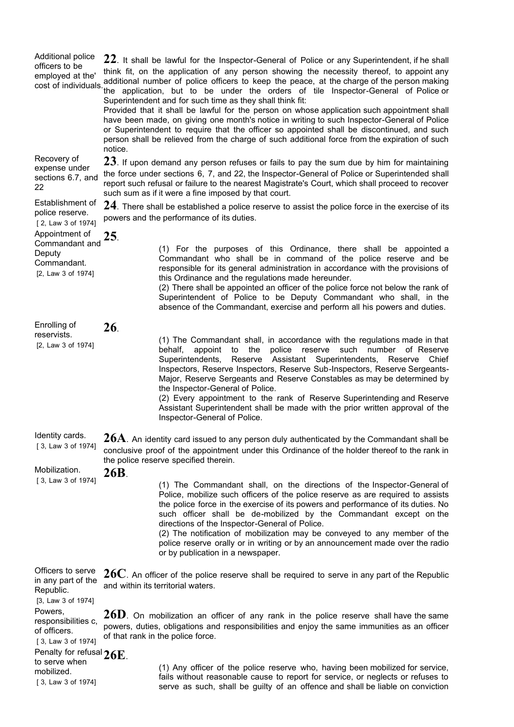| Additional police<br>officers to be<br>employed at the'<br>cost of individuals             | $22$ . It shall be lawful for the Inspector-General of Police or any Superintendent, if he shall<br>think fit, on the application of any person showing the necessity thereof, to appoint any<br>additional number of police officers to keep the peace, at the charge of the person making<br>the application, but to be under the orders of tile Inspector-General of Police or<br>Superintendent and for such time as they shall think fit:<br>Provided that it shall be lawful for the person on whose application such appointment shall<br>have been made, on giving one month's notice in writing to such Inspector-General of Police<br>or Superintendent to require that the officer so appointed shall be discontinued, and such<br>person shall be relieved from the charge of such additional force from the expiration of such<br>notice. |                                                                                                                                                                                                                                                                                                                                                                                                                                                                                                                                                                                                                                    |  |
|--------------------------------------------------------------------------------------------|--------------------------------------------------------------------------------------------------------------------------------------------------------------------------------------------------------------------------------------------------------------------------------------------------------------------------------------------------------------------------------------------------------------------------------------------------------------------------------------------------------------------------------------------------------------------------------------------------------------------------------------------------------------------------------------------------------------------------------------------------------------------------------------------------------------------------------------------------------|------------------------------------------------------------------------------------------------------------------------------------------------------------------------------------------------------------------------------------------------------------------------------------------------------------------------------------------------------------------------------------------------------------------------------------------------------------------------------------------------------------------------------------------------------------------------------------------------------------------------------------|--|
| Recovery of<br>expense under<br>sections 6.7, and<br>22                                    | $23$ . If upon demand any person refuses or fails to pay the sum due by him for maintaining<br>the force under sections 6, 7, and 22, the Inspector-General of Police or Superintended shall<br>report such refusal or failure to the nearest Magistrate's Court, which shall proceed to recover<br>such sum as if it were a fine imposed by that court.                                                                                                                                                                                                                                                                                                                                                                                                                                                                                               |                                                                                                                                                                                                                                                                                                                                                                                                                                                                                                                                                                                                                                    |  |
| Establishment of<br>police reserve.<br>[2, Law 3 of 1974]                                  | $24$ . There shall be established a police reserve to assist the police force in the exercise of its<br>powers and the performance of its duties.                                                                                                                                                                                                                                                                                                                                                                                                                                                                                                                                                                                                                                                                                                      |                                                                                                                                                                                                                                                                                                                                                                                                                                                                                                                                                                                                                                    |  |
| Appointment of<br>Commandant and<br>Deputy<br>Commandant.<br>[2, Law 3 of 1974]            | 25.                                                                                                                                                                                                                                                                                                                                                                                                                                                                                                                                                                                                                                                                                                                                                                                                                                                    | (1) For the purposes of this Ordinance, there shall be appointed a<br>Commandant who shall be in command of the police reserve and be<br>responsible for its general administration in accordance with the provisions of<br>this Ordinance and the regulations made hereunder.<br>(2) There shall be appointed an officer of the police force not below the rank of<br>Superintendent of Police to be Deputy Commandant who shall, in the<br>absence of the Commandant, exercise and perform all his powers and duties.                                                                                                            |  |
| Enrolling of<br>reservists.<br>[2, Law 3 of 1974]                                          | 26.                                                                                                                                                                                                                                                                                                                                                                                                                                                                                                                                                                                                                                                                                                                                                                                                                                                    | (1) The Commandant shall, in accordance with the regulations made in that<br>police<br>such number<br>behalf,<br>appoint<br>to<br>the<br>reserve<br>of Reserve<br>Reserve Assistant Superintendents,<br>Superintendents,<br>Reserve Chief<br>Inspectors, Reserve Inspectors, Reserve Sub-Inspectors, Reserve Sergeants-<br>Major, Reserve Sergeants and Reserve Constables as may be determined by<br>the Inspector-General of Police.<br>(2) Every appointment to the rank of Reserve Superintending and Reserve<br>Assistant Superintendent shall be made with the prior written approval of the<br>Inspector-General of Police. |  |
| Identity cards<br>[3, Law 3 of 1974]<br>Mobilization.                                      | ${\bf 26A}$ . An identity card issued to any person duly authenticated by the Commandant shall be<br>conclusive proof of the appointment under this Ordinance of the holder thereof to the rank in<br>the police reserve specified therein.                                                                                                                                                                                                                                                                                                                                                                                                                                                                                                                                                                                                            |                                                                                                                                                                                                                                                                                                                                                                                                                                                                                                                                                                                                                                    |  |
| [3, Law 3 of 1974]                                                                         | 26B.                                                                                                                                                                                                                                                                                                                                                                                                                                                                                                                                                                                                                                                                                                                                                                                                                                                   | (1) The Commandant shall, on the directions of the Inspector-General of<br>Police, mobilize such officers of the police reserve as are required to assists<br>the police force in the exercise of its powers and performance of its duties. No<br>such officer shall be de-mobilized by the Commandant except on the<br>directions of the Inspector-General of Police.<br>(2) The notification of mobilization may be conveyed to any member of the<br>police reserve orally or in writing or by an announcement made over the radio<br>or by publication in a newspaper.                                                          |  |
| Officers to serve<br>in any part of the<br>Republic.                                       | $26C$ . An officer of the police reserve shall be required to serve in any part of the Republic<br>and within its territorial waters.                                                                                                                                                                                                                                                                                                                                                                                                                                                                                                                                                                                                                                                                                                                  |                                                                                                                                                                                                                                                                                                                                                                                                                                                                                                                                                                                                                                    |  |
| [3, Law 3 of 1974]<br>Powers,<br>responsibilities c,<br>of officers.<br>[3, Law 3 of 1974] | $26D$ . On mobilization an officer of any rank in the police reserve shall have the same<br>powers, duties, obligations and responsibilities and enjoy the same immunities as an officer<br>of that rank in the police force.                                                                                                                                                                                                                                                                                                                                                                                                                                                                                                                                                                                                                          |                                                                                                                                                                                                                                                                                                                                                                                                                                                                                                                                                                                                                                    |  |
| Penalty for refusal 26E.<br>to serve when<br>mobilized.<br>[3, Law 3 of 1974]              |                                                                                                                                                                                                                                                                                                                                                                                                                                                                                                                                                                                                                                                                                                                                                                                                                                                        | (1) Any officer of the police reserve who, having been mobilized for service,<br>fails without reasonable cause to report for service, or neglects or refuses to<br>serve as such, shall be guilty of an offence and shall be liable on conviction                                                                                                                                                                                                                                                                                                                                                                                 |  |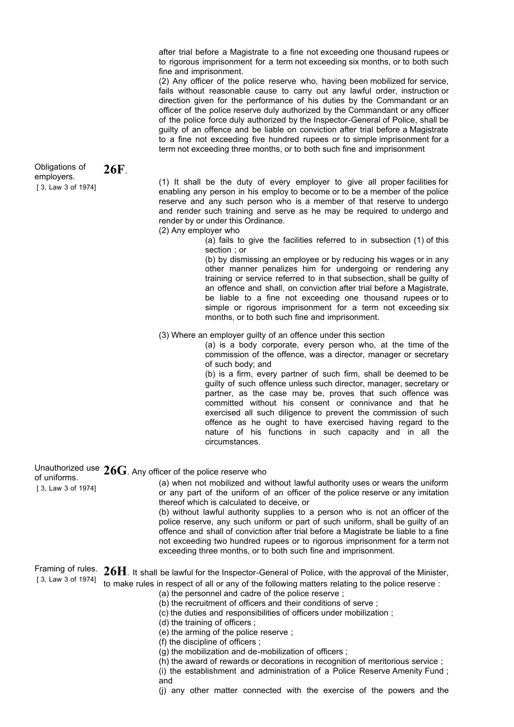after trial before a Magistrate to a fine not exceeding one thousand rupees or to rigorous imprisonment for a term not exceeding six months, or to both such fine and imprisonment.

(2) Any officer of the police reserve who, having been mobilized for service, fails without reasonable cause to carry out any lawful order, instruction or direction given for the performance of his duties by the Commandant or an officer of the police reserve duly authorized by the Commandant or any officer of the police force duly authorized by the Inspector-General of Police, shall be guilty of an offence and be liable on conviction after trial before a Magistrate to a fine not exceeding five hundred rupees or to simple imprisonment for a term not exceeding three months, or to both such fine and imprisonment

(1) It shall be the duty of every employer to give all proper facilities for enabling any person in his employ to become or to be a member of the police reserve and any such person who is a member of that reserve to undergo and render such training and serve as he may be required to undergo and render by or under this Ordinance. (2) Any employer who (a) fails to give the facilities referred to in subsection (1) of this section ; or (b) by dismissing an employee or by reducing his wages or in any other manner penalizes him for undergoing or rendering any training or service referred to in that subsection, shall be guilty of an offence and shall, on conviction after trial before a Magistrate, be liable to a fine not exceeding one thousand rupees or to

(3) Where an employer guilty of an offence under this section

months, or to both such fine and imprisonment.

(a) is a body corporate, every person who, at the time of the commission of the offence, was a director, manager or secretary of such body; and

simple or rigorous imprisonment for a term not exceeding six

(b) is a firm, every partner of such firm, shall be deemed to be guilty of such offence unless such director, manager, secretary or partner, as the case may be, proves that such offence was committed without his consent or connivance and that he exercised all such diligence to prevent the commission of such offence as he ought to have exercised having regard to the nature of his functions in such capacity and in all the circumstances.

Unauthorized use 26G. Any officer of the police reserve who<br>of uniforms.

[ 3, Law 3 of 1974] (a) when not mobilized and without lawful authority uses or wears the uniform or any part of the uniform of an officer of the police reserve or any imitation thereof which is calculated to deceive, or

(b) without lawful authority supplies to a person who is not an officer of the police reserve, any such uniform or part of such uniform, shall be guilty of an offence and shall of conviction after trial before a Magistrate be liable to a fine not exceeding two hundred rupees or to rigorous imprisonment for a term not exceeding three months, or to both such fine and imprisonment.

[ 3, Law 3 of 1974] Framing of rules. **26H**. It shall be lawful for the Inspector-General of Police, with the approval of the Minister, to make rules in respect of all or any of the following matters relating to the police reserve :

- (a) the personnel and cadre of the police reserve ;
- (b) the recruitment of officers and their conditions of serve ;
- (c) the duties and responsibilities of officers under mobilization ;

(d) the training of officers ;

- (e) the arming of the police reserve ;
- (f) the discipline of officers ;
- (g) the mobilization and de-mobilization of officers ;
- (h) the award of rewards or decorations in recognition of meritorious service ;

(i) the establishment and administration of a Police Reserve Amenity Fund ; and

(j) any other matter connected with the exercise of the powers and the

[ 3, Law 3 of 1974] Obligations of employers. **26F**.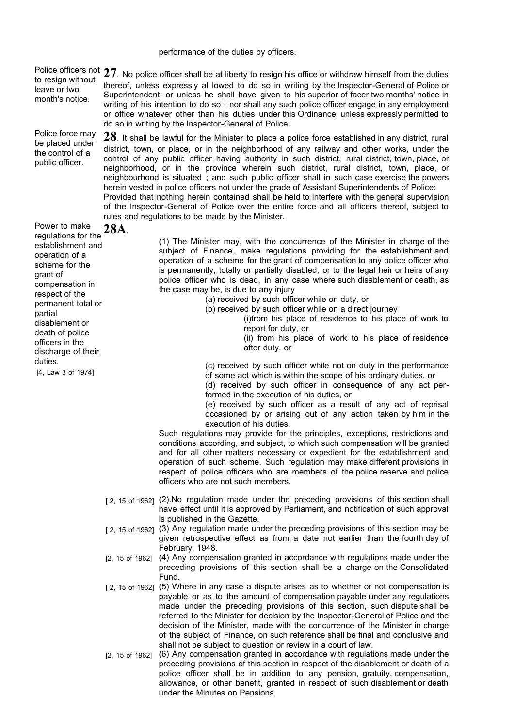### performance of the duties by officers.

Police officers not 27. No police officer shall be at liberty to resign his office or withdraw himself from the duties to resign without leave or two month's notice.

Police force may be placed under the control of a public officer.

do so in writing by the Inspector-General of Police. **28**. It shall be lawful for the Minister to place a police force established in any district, rural district, town, or place, or in the neighborhood of any railway and other works, under the control of any public officer having authority in such district, rural district, town, place, or neighborhood, or in the province wherein such district, rural district, town, place, or neighbourhood is situated ; and such public officer shall in such case exercise the powers herein vested in police officers not under the grade of Assistant Superintendents of Police: Provided that nothing herein contained shall be held to interfere with the general supervision of the Inspector-General of Police over the entire force and all officers thereof, subject to rules and regulations to be made by the Minister.

thereof, unless expressly al lowed to do so in writing by the Inspector-General of Police or Superintendent, or unless he shall have given to his superior of facer two months' notice in writing of his intention to do so ; nor shall any such police officer engage in any employment or office whatever other than his duties under this Ordinance, unless expressly permitted to

[4, Law 3 of 1974] Power to make Power to make 28A.<br>regulations for the establishment and operation of a scheme for the grant of compensation in respect of the permanent total or partial disablement or death of police officers in the discharge of their duties.

(1) The Minister may, with the concurrence of the Minister in charge of the subject of Finance, make regulations providing for the establishment and operation of a scheme for the grant of compensation to any police officer who is permanently, totally or partially disabled, or to the legal heir or heirs of any police officer who is dead, in any case where such disablement or death, as the case may be, is due to any injury

(a) received by such officer while on duty, or

(b) received by such officer while on a direct journey

(i)from his place of residence to his place of work to report for duty, or

(ii) from his place of work to his place of residence after duty, or

(c) received by such officer while not on duty in the performance of some act which is within the scope of his ordinary duties, or

(d) received by such officer in consequence of any act performed in the execution of his duties, or

(e) received by such officer as a result of any act of reprisal occasioned by or arising out of any action taken by him in the execution of his duties.

Such regulations may provide for the principles, exceptions, restrictions and conditions according, and subject, to which such compensation will be granted and for all other matters necessary or expedient for the establishment and operation of such scheme. Such regulation may make different provisions in respect of police officers who are members of the police reserve and police officers who are not such members.

- [2, 15 of 1962] (2).No regulation made under the preceding provisions of this section shall have effect until it is approved by Parliament, and notification of such approval is published in the Gazette.
- [2, 15 of 1962] (3) Any regulation made under the preceding provisions of this section may be given retrospective effect as from a date not earlier than the fourth day of February, 1948.
- [2, 15 of 1962] (4) Any compensation granted in accordance with regulations made under the preceding provisions of this section shall be a charge on the Consolidated Fund.
- [2, 15 of 1962] (5) Where in any case a dispute arises as to whether or not compensation is payable or as to the amount of compensation payable under any regulations made under the preceding provisions of this section, such dispute shall be referred to the Minister for decision by the Inspector-General of Police and the decision of the Minister, made with the concurrence of the Minister in charge of the subject of Finance, on such reference shall be final and conclusive and shall not be subject to question or review in a court of law.
- [2, 15 of 1962] (6) Any compensation granted in accordance with regulations made under the preceding provisions of this section in respect of the disablement or death of a police officer shall be in addition to any pension, gratuity, compensation, allowance, or other benefit, granted in respect of such disablement or death under the Minutes on Pensions,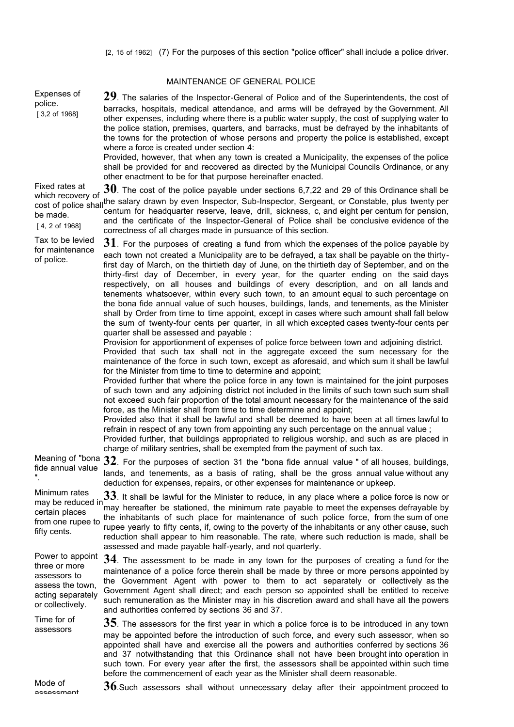|                                                                                                                | MAINTENANCE OF GENERAL POLICE                                                                                                                                                                                                                                                                                                                                                                                                                                                                                                                                                                                                                                                                                                                                                                                                                                                                                                                                                                                                                                                                                                                                                                                                                                                                                                                                                                                                                                                                                                                                                                                                                                                                                                                                                                                                                                                                                                                                                                                                            |
|----------------------------------------------------------------------------------------------------------------|------------------------------------------------------------------------------------------------------------------------------------------------------------------------------------------------------------------------------------------------------------------------------------------------------------------------------------------------------------------------------------------------------------------------------------------------------------------------------------------------------------------------------------------------------------------------------------------------------------------------------------------------------------------------------------------------------------------------------------------------------------------------------------------------------------------------------------------------------------------------------------------------------------------------------------------------------------------------------------------------------------------------------------------------------------------------------------------------------------------------------------------------------------------------------------------------------------------------------------------------------------------------------------------------------------------------------------------------------------------------------------------------------------------------------------------------------------------------------------------------------------------------------------------------------------------------------------------------------------------------------------------------------------------------------------------------------------------------------------------------------------------------------------------------------------------------------------------------------------------------------------------------------------------------------------------------------------------------------------------------------------------------------------------|
| Expenses of<br>police.<br>[3,2 of 1968]                                                                        | 29. The salaries of the Inspector-General of Police and of the Superintendents, the cost of<br>barracks, hospitals, medical attendance, and arms will be defrayed by the Government. All<br>other expenses, including where there is a public water supply, the cost of supplying water to<br>the police station, premises, quarters, and barracks, must be defrayed by the inhabitants of<br>the towns for the protection of whose persons and property the police is established, except<br>where a force is created under section 4:<br>Provided, however, that when any town is created a Municipality, the expenses of the police<br>shall be provided for and recovered as directed by the Municipal Councils Ordinance, or any<br>other enactment to be for that purpose hereinafter enacted.                                                                                                                                                                                                                                                                                                                                                                                                                                                                                                                                                                                                                                                                                                                                                                                                                                                                                                                                                                                                                                                                                                                                                                                                                                     |
| Fixed rates at<br>which recovery of<br>be made.<br>[4, 2 of 1968]                                              | $\bf{30}$ . The cost of the police payable under sections 6,7,22 and 29 of this Ordinance shall be<br>cost of police shall the salary drawn by even Inspector, Sub-Inspector, Sergeant, or Constable, plus twenty per<br>centum for headquarter reserve, leave, drill, sickness, c, and eight per centum for pension,<br>and the certificate of the Inspector-General of Police shall be conclusive evidence of the<br>correctness of all charges made in pursuance of this section.                                                                                                                                                                                                                                                                                                                                                                                                                                                                                                                                                                                                                                                                                                                                                                                                                                                                                                                                                                                                                                                                                                                                                                                                                                                                                                                                                                                                                                                                                                                                                     |
| Tax to be levied<br>for maintenance<br>of police.                                                              | $\bf{31}$ . For the purposes of creating a fund from which the expenses of the police payable by<br>each town not created a Municipality are to be defrayed, a tax shall be payable on the thirty-<br>first day of March, on the thirtieth day of June, on the thirtieth day of September, and on the<br>thirty-first day of December, in every year, for the quarter ending on the said days<br>respectively, on all houses and buildings of every description, and on all lands and<br>tenements whatsoever, within every such town, to an amount equal to such percentage on<br>the bona fide annual value of such houses, buildings, lands, and tenements, as the Minister<br>shall by Order from time to time appoint, except in cases where such amount shall fall below<br>the sum of twenty-four cents per quarter, in all which excepted cases twenty-four cents per<br>quarter shall be assessed and payable :<br>Provision for apportionment of expenses of police force between town and adjoining district.<br>Provided that such tax shall not in the aggregate exceed the sum necessary for the<br>maintenance of the force in such town, except as aforesaid, and which sum it shall be lawful<br>for the Minister from time to time to determine and appoint;<br>Provided further that where the police force in any town is maintained for the joint purposes<br>of such town and any adjoining district not included in the limits of such town such sum shall<br>not exceed such fair proportion of the total amount necessary for the maintenance of the said<br>force, as the Minister shall from time to time determine and appoint;<br>Provided also that it shall be lawful and shall be deemed to have been at all times lawful to<br>refrain in respect of any town from appointing any such percentage on the annual value;<br>Provided further, that buildings appropriated to religious worship, and such as are placed in<br>charge of military sentries, shall be exempted from the payment of such tax. |
| fide annual value                                                                                              | Meaning of "bona $32$ . For the purposes of section 31 the "bona fide annual value" of all houses, buildings,<br>lands, and tenements, as a basis of rating, shall be the gross annual value without any<br>deduction for expenses, repairs, or other expenses for maintenance or upkeep.                                                                                                                                                                                                                                                                                                                                                                                                                                                                                                                                                                                                                                                                                                                                                                                                                                                                                                                                                                                                                                                                                                                                                                                                                                                                                                                                                                                                                                                                                                                                                                                                                                                                                                                                                |
| Minimum rates<br>may be reduced in<br>certain places<br>from one rupee to<br>fifty cents.                      | $33$ . It shall be lawful for the Minister to reduce, in any place where a police force is now or<br>may hereafter be stationed, the minimum rate payable to meet the expenses defrayable by<br>the inhabitants of such place for maintenance of such police force, from the sum of one<br>rupee yearly to fifty cents, if, owing to the poverty of the inhabitants or any other cause, such<br>reduction shall appear to him reasonable. The rate, where such reduction is made, shall be<br>assessed and made payable half-yearly, and not quarterly.                                                                                                                                                                                                                                                                                                                                                                                                                                                                                                                                                                                                                                                                                                                                                                                                                                                                                                                                                                                                                                                                                                                                                                                                                                                                                                                                                                                                                                                                                  |
| Power to appoint<br>three or more<br>assessors to<br>assess the town,<br>acting separately<br>or collectively. | $34$ . The assessment to be made in any town for the purposes of creating a fund for the<br>maintenance of a police force therein shall be made by three or more persons appointed by<br>the Government Agent with power to them to act separately or collectively as the<br>Government Agent shall direct; and each person so appointed shall be entitled to receive<br>such remuneration as the Minister may in his discretion award and shall have all the powers<br>and authorities conferred by sections 36 and 37.                                                                                                                                                                                                                                                                                                                                                                                                                                                                                                                                                                                                                                                                                                                                                                                                                                                                                                                                                                                                                                                                                                                                                                                                                                                                                                                                                                                                                                                                                                                 |
| Time for of<br>assessors                                                                                       | $35$ . The assessors for the first year in which a police force is to be introduced in any town<br>may be appointed before the introduction of such force, and every such assessor, when so<br>appointed shall have and exercise all the powers and authorities conferred by sections 36<br>and 37 notwithstanding that this Ordinance shall not have been brought into operation in                                                                                                                                                                                                                                                                                                                                                                                                                                                                                                                                                                                                                                                                                                                                                                                                                                                                                                                                                                                                                                                                                                                                                                                                                                                                                                                                                                                                                                                                                                                                                                                                                                                     |
| Mode of                                                                                                        | such town. For every year after the first, the assessors shall be appointed within such time<br>before the commencement of each year as the Minister shall deem reasonable.<br>$36$ Such assossors shall without unpercosany delay after their appointment present to                                                                                                                                                                                                                                                                                                                                                                                                                                                                                                                                                                                                                                                                                                                                                                                                                                                                                                                                                                                                                                                                                                                                                                                                                                                                                                                                                                                                                                                                                                                                                                                                                                                                                                                                                                    |

1910ue of **36**.Such assessors shall without unnecessary delay after their appointment proceed to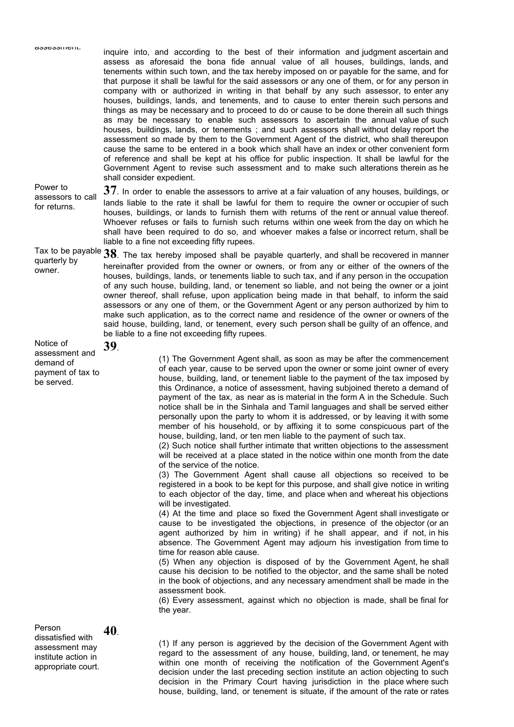inquire into, and according to the best of their information and judgment ascertain and assess as aforesaid the bona fide annual value of all houses, buildings, lands, and tenements within such town, and the tax hereby imposed on or payable for the same, and for that purpose it shall be lawful for the said assessors or any one of them, or for any person in company with or authorized in writing in that behalf by any such assessor, to enter any houses, buildings, lands, and tenements, and to cause to enter therein such persons and things as may be necessary and to proceed to do or cause to be done therein all such things as may be necessary to enable such assessors to ascertain the annual value of such houses, buildings, lands, or tenements ; and such assessors shall without delay report the assessment so made by them to the Government Agent of the district, who shall thereupon cause the same to be entered in a book which shall have an index or other convenient form of reference and shall be kept at his office for public inspection. It shall be lawful for the Government Agent to revise such assessment and to make such alterations therein as he shall consider expedient.

Power to assessors to call for returns. **37**. In order to enable the assessors to arrive at a fair valuation of any houses, buildings, or lands liable to the rate it shall be lawful for them to require the owner or occupier of such houses, buildings, or lands to furnish them with returns of the rent or annual value thereof. Whoever refuses or fails to furnish such returns within one week from the day on which he shall have been required to do so, and whoever makes a false or incorrect return, shall be liable to a fine not exceeding fifty rupees.

### Tax to be payable Tax to be payable **38**. The tax hereby imposed shall be payable quarterly, and shall be recovered in manner<br>quarterly by **provided from the surger of strong pays and shall be recovered in manner** owner. hereinafter provided from the owner or owners, or from any or either of the owners of the houses, buildings, lands, or tenements liable to such tax, and if any person in the occupation of any such house, building, land, or tenement so liable, and not being the owner or a joint owner thereof, shall refuse, upon application being made in that behalf, to inform the said assessors or any one of them, or the Government Agent or any person authorized by him to make such application, as to the correct name and residence of the owner or owners of the said house, building, land, or tenement, every such person shall be guilty of an offence, and be liable to a fine not exceeding fifty rupees.

### Notice of assessment and demand of payment of tax to be served. **39**.

(1) The Government Agent shall, as soon as may be after the commencement of each year, cause to be served upon the owner or some joint owner of every house, building, land, or tenement liable to the payment of the tax imposed by this Ordinance, a notice of assessment, having subjoined thereto a demand of payment of the tax, as near as is material in the form A in the Schedule. Such notice shall be in the Sinhala and Tamil languages and shall be served either personally upon the party to whom it is addressed, or by leaving it with some member of his household, or by affixing it to some conspicuous part of the house, building, land, or ten men liable to the payment of such tax.

(2) Such notice shall further intimate that written objections to the assessment will be received at a place stated in the notice within one month from the date of the service of the notice.

(3) The Government Agent shall cause all objections so received to be registered in a book to be kept for this purpose, and shall give notice in writing to each objector of the day, time, and place when and whereat his objections will be investigated.

(4) At the time and place so fixed the Government Agent shall investigate or cause to be investigated the objections, in presence of the objector (or an agent authorized by him in writing) if he shall appear, and if not, in his absence. The Government Agent may adjourn his investigation from time to time for reason able cause.

(5) When any objection is disposed of by the Government Agent, he shall cause his decision to be notified to the objector, and the same shall be noted in the book of objections, and any necessary amendment shall be made in the assessment book.

(6) Every assessment, against which no objection is made, shall be final for the year.

Person dissatisfied with assessment may institute action in appropriate court. **40**.

(1) If any person is aggrieved by the decision of the Government Agent with regard to the assessment of any house, building, land, or tenement, he may within one month of receiving the notification of the Government Agent's decision under the last preceding section institute an action objecting to such decision in the Primary Court having jurisdiction in the place where such house, building, land, or tenement is situate, if the amount of the rate or rates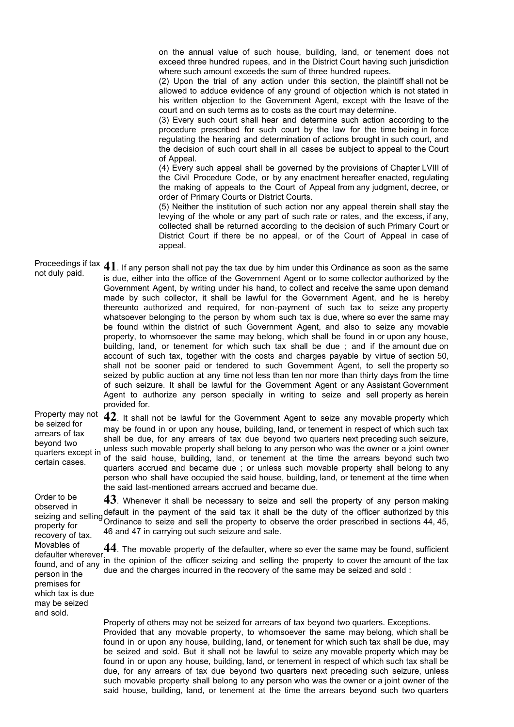on the annual value of such house, building, land, or tenement does not exceed three hundred rupees, and in the District Court having such jurisdiction where such amount exceeds the sum of three hundred rupees.

(2) Upon the trial of any action under this section, the plaintiff shall not be allowed to adduce evidence of any ground of objection which is not stated in his written objection to the Government Agent, except with the leave of the court and on such terms as to costs as the court may determine.

(3) Every such court shall hear and determine such action according to the procedure prescribed for such court by the law for the time being in force regulating the hearing and determination of actions brought in such court, and the decision of such court shall in all cases be subject to appeal to the Court of Appeal.

(4) Every such appeal shall be governed by the provisions of Chapter LVIII of the Civil Procedure Code, or by any enactment hereafter enacted, regulating the making of appeals to the Court of Appeal from any judgment, decree, or order of Primary Courts or District Courts.

(5) Neither the institution of such action nor any appeal therein shall stay the levying of the whole or any part of such rate or rates, and the excess, if any, collected shall be returned according to the decision of such Primary Court or District Court if there be no appeal, or of the Court of Appeal in case of appeal.

Proceedings if tax 41. If any person shall not pay the tax due by him under this Ordinance as soon as the same<br>not duly paid. is due, either into the office of the Government Agent or to some collector authorized by the Government Agent, by writing under his hand, to collect and receive the same upon demand made by such collector, it shall be lawful for the Government Agent, and he is hereby thereunto authorized and required, for non-payment of such tax to seize any property whatsoever belonging to the person by whom such tax is due, where so ever the same may be found within the district of such Government Agent, and also to seize any movable property, to whomsoever the same may belong, which shall be found in or upon any house, building, land, or tenement for which such tax shall be due ; and if the amount due on account of such tax, together with the costs and charges payable by virtue of section 50, shall not be sooner paid or tendered to such Government Agent, to sell the property so seized by public auction at any time not less than ten nor more than thirty days from the time of such seizure. It shall be lawful for the Government Agent or any Assistant Government Agent to authorize any person specially in writing to seize and sell property as herein provided for.

Property may not be seized for arrears of tax beyond two quarters except in certain cases.

Order to be observed in property for recovery of tax. Movables of defaulter wherever person in the premises for which tax is due may be seized and sold.

**42**. It shall not be lawful for the Government Agent to seize any movable property which may be found in or upon any house, building, land, or tenement in respect of which such tax shall be due, for any arrears of tax due beyond two quarters next preceding such seizure, unless such movable property shall belong to any person who was the owner or a joint owner of the said house, building, land, or tenement at the time the arrears beyond such two quarters accrued and became due ; or unless such movable property shall belong to any person who shall have occupied the said house, building, land, or tenement at the time when the said last-mentioned arrears accrued and became due.

seizing and selling default in the payment of the said tax it shall be the duty of the officer authorized by this<br>seizing and selling ordinary as the said sell the approach to also and the order presenting directions 44.45 **43**. Whenever it shall be necessary to seize and sell the property of any person making Ordinance to seize and sell the property to observe the order prescribed in sections 44, 45, 46 and 47 in carrying out such seizure and sale.

found, and of any the opinion of the officer seizing and selling the property to cover the amount of the tax **44**. The movable property of the defaulter, where so ever the same may be found, sufficient due and the charges incurred in the recovery of the same may be seized and sold :

> Property of others may not be seized for arrears of tax beyond two quarters. Exceptions. Provided that any movable property, to whomsoever the same may belong, which shall be found in or upon any house, building, land, or tenement for which such tax shall be due, may be seized and sold. But it shall not be lawful to seize any movable property which may be found in or upon any house, building, land, or tenement in respect of which such tax shall be due, for any arrears of tax due beyond two quarters next preceding such seizure, unless such movable property shall belong to any person who was the owner or a joint owner of the said house, building, land, or tenement at the time the arrears beyond such two quarters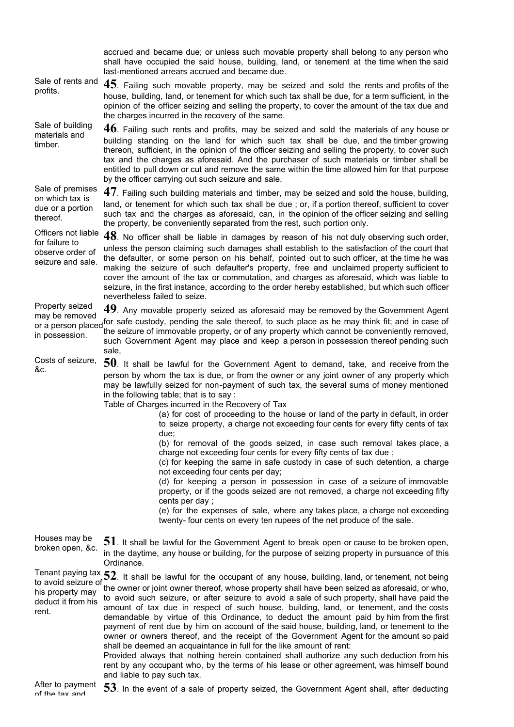accrued and became due; or unless such movable property shall belong to any person who shall have occupied the said house, building, land, or tenement at the time when the said last-mentioned arrears accrued and became due. Sale of rents and Sale of rents and **45**. Failing such movable property, may be seized and sold the rents and profits of the profits. house, building, land, or tenement for which such tax shall be due, for a term sufficient, in the opinion of the officer seizing and selling the property, to cover the amount of the tax due and the charges incurred in the recovery of the same. Sale of building materials and timber. **46**. Failing such rents and profits, may be seized and sold the materials of any house or building standing on the land for which such tax shall be due, and the timber growing thereon, sufficient, in the opinion of the officer seizing and selling the property, to cover such tax and the charges as aforesaid. And the purchaser of such materials or timber shall be entitled to pull down or cut and remove the same within the time allowed him for that purpose by the officer carrying out such seizure and sale. Sale of premises on which tax is due or a portion thereof. **47**. Failing such building materials and timber, may be seized and sold the house, building, land, or tenement for which such tax shall be due ; or, if a portion thereof, sufficient to cover such tax and the charges as aforesaid, can, in the opinion of the officer seizing and selling the property, be conveniently separated from the rest, such portion only. Officers not liable for failure to observe order of seizure and sale. **48**. No officer shall be liable in damages by reason of his not duly observing such order, unless the person claiming such damages shall establish to the satisfaction of the court that the defaulter, or some person on his behalf, pointed out to such officer, at the time he was making the seizure of such defaulter's property, free and unclaimed property sufficient to cover the amount of the tax or commutation, and charges as aforesaid, which was liable to seizure, in the first instance, according to the order hereby established, but which such officer nevertheless failed to seize. Property seized<br>may be removed may be removed or a person placed for safe custody, pending the sale thereof, to such place as he may think fit; and in case of or a person placed the series of inner such a person of inner such a person of inner such a person of the ser in possession. **49**. Any movable property seized as aforesaid may be removed by the Government Agent the seizure of immovable property, or of any property which cannot be conveniently removed, such Government Agent may place and keep a person in possession thereof pending such sale, Costs of seizure, &c. **50**. It shall be lawful for the Government Agent to demand, take, and receive from the person by whom the tax is due, or from the owner or any joint owner of any property which may be lawfully seized for non-payment of such tax, the several sums of money mentioned in the following table; that is to say : Table of Charges incurred in the Recovery of Tax (a) for cost of proceeding to the house or land of the party in default, in order to seize property, a charge not exceeding four cents for every fifty cents of tax due; (b) for removal of the goods seized, in case such removal takes place, a charge not exceeding four cents for every fifty cents of tax due ; (c) for keeping the same in safe custody in case of such detention, a charge not exceeding four cents per day; (d) for keeping a person in possession in case of a seizure of immovable property, or if the goods seized are not removed, a charge not exceeding fifty cents per day ; (e) for the expenses of sale, where any takes place, a charge not exceeding twenty- four cents on every ten rupees of the net produce of the sale. Houses may be broken open, &c. **51**. It shall be lawful for the Government Agent to break open or cause to be broken open, in the daytime, any house or building, for the purpose of seizing property in pursuance of this Ordinance. Tenant paying tax Tenant paying tax 52. It shall be lawful for the occupant of any house, building, land, or tenement, not being<br>to avoid seizure of the summary stight summar there of whose game at the linear house as in the of measing sout his property may deduct it from his rent. the owner or joint owner thereof, whose property shall have been seized as aforesaid, or who, to avoid such seizure, or after seizure to avoid a sale of such property, shall have paid the amount of tax due in respect of such house, building, land, or tenement, and the costs demandable by virtue of this Ordinance, to deduct the amount paid by him from the first payment of rent due by him on account of the said house, building, land, or tenement to the owner or owners thereof, and the receipt of the Government Agent for the amount so paid shall be deemed an acquaintance in full for the like amount of rent: Provided always that nothing herein contained shall authorize any such deduction from his rent by any occupant who, by the terms of his lease or other agreement, was himself bound and liable to pay such tax.

53. In the event of a sale of property seized, the Government Agent shall, after deducting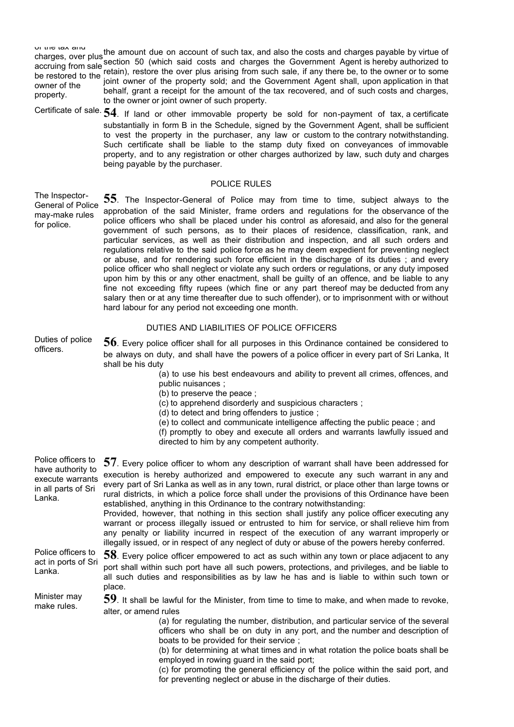of the tax and charges, over plus the amount due on account of such tax, and also the costs and charges payable by virtue of the charges over plus the cost of the cost of the cost of the cost of the cost of the cost of the cost of the co accruing from sale section 50 (which said costs and charges the Government Agent is hereby authorized to accruing from sale be restored to the said retain), restore the over plus arising from such sale, if any there be, to the owner or to some<br>be restored to the said armor of the present sold and the Ocumunist Appel and the linear explication i owner of the property. joint owner of the property sold; and the Government Agent shall, upon application in that behalf, grant a receipt for the amount of the tax recovered, and of such costs and charges, to the owner or joint owner of such property.

Certificate of sale. **54**. If land or other immovable property be sold for non-payment of tax, a certificate substantially in form B in the Schedule, signed by the Government Agent, shall be sufficient to vest the property in the purchaser, any law or custom to the contrary notwithstanding. Such certificate shall be liable to the stamp duty fixed on conveyances of immovable property, and to any registration or other charges authorized by law, such duty and charges being payable by the purchaser.

## POLICE RULES

The Inspector-General of Police may-make rules for police.

**55**. The Inspector-General of Police may from time to time, subject always to the approbation of the said Minister, frame orders and regulations for the observance of the police officers who shall be placed under his control as aforesaid, and also for the general government of such persons, as to their places of residence, classification, rank, and particular services, as well as their distribution and inspection, and all such orders and regulations relative to the said police force as he may deem expedient for preventing neglect or abuse, and for rendering such force efficient in the discharge of its duties ; and every police officer who shall neglect or violate any such orders or regulations, or any duty imposed upon him by this or any other enactment, shall be guilty of an offence, and be liable to any fine not exceeding fifty rupees (which fine or any part thereof may be deducted from any salary then or at any time thereafter due to such offender), or to imprisonment with or without hard labour for any period not exceeding one month.

# DUTIES AND LIABILITIES OF POLICE OFFICERS

Duties of police Duties of police 56. Every police officer shall for all purposes in this Ordinance contained be considered to officers. be always on duty, and shall have the powers of a police officer in every part of Sri Lanka, It shall be his duty

(a) to use his best endeavours and ability to prevent all crimes, offences, and public nuisances ;

- (b) to preserve the peace ;
- (c) to apprehend disorderly and suspicious characters ;
- (d) to detect and bring offenders to justice ;
- (e) to collect and communicate intelligence affecting the public peace ; and

(f) promptly to obey and execute all orders and warrants lawfully issued and directed to him by any competent authority.

| Police officers to<br>have authority to<br>execute warrants<br>in all parts of Sri<br>Lanka. | $57$ . Every police officer to whom any description of warrant shall have been addressed for<br>execution is hereby authorized and empowered to execute any such warrant in any and<br>every part of Sri Lanka as well as in any town, rural district, or place other than large towns or<br>rural districts, in which a police force shall under the provisions of this Ordinance have been<br>established, anything in this Ordinance to the contrary notwithstanding:<br>Provided, however, that nothing in this section shall justify any police officer executing any<br>warrant or process illegally issued or entrusted to him for service, or shall relieve him from<br>any penalty or liability incurred in respect of the execution of any warrant improperly or<br>illegally issued, or in respect of any neglect of duty or abuse of the powers hereby conferred. |
|----------------------------------------------------------------------------------------------|-------------------------------------------------------------------------------------------------------------------------------------------------------------------------------------------------------------------------------------------------------------------------------------------------------------------------------------------------------------------------------------------------------------------------------------------------------------------------------------------------------------------------------------------------------------------------------------------------------------------------------------------------------------------------------------------------------------------------------------------------------------------------------------------------------------------------------------------------------------------------------|
| Police officers to<br>act in ports of Sri<br>Lanka.                                          | $58$ . Every police officer empowered to act as such within any town or place adjacent to any<br>port shall within such port have all such powers, protections, and privileges, and be liable to<br>all such duties and responsibilities as by law he has and is liable to within such town or<br>place.                                                                                                                                                                                                                                                                                                                                                                                                                                                                                                                                                                      |
| Minister may<br>make rules.                                                                  | 59. It shall be lawful for the Minister, from time to time to make, and when made to revoke,<br>alter, or amend rules<br>(a) for regulating the number, distribution, and particular service of the several<br>officers who shall be on duty in any port, and the number and description of<br>boats to be provided for their service;<br>(b) for determining at what times and in what rotation the police boats shall be<br>employed in rowing guard in the said port;<br>(c) for promoting the general efficiency of the police within the said port, and<br>for preventing neglect or abuse in the discharge of their duties.                                                                                                                                                                                                                                             |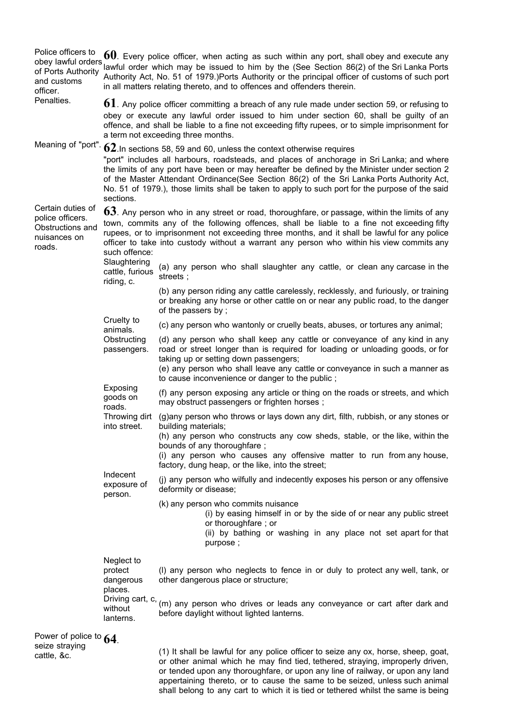| Police officers to<br>obey lawful orders<br>of Ports Authority<br>and customs<br>officer. |                                                                                                                                                                                                                                                                                                                                                                                                                                                                                   | $60$ . Every police officer, when acting as such within any port, shall obey and execute any<br>lawful order which may be issued to him by the (See Section 86(2) of the Sri Lanka Ports<br>Authority Act, No. 51 of 1979.)Ports Authority or the principal officer of customs of such port<br>in all matters relating thereto, and to offences and offenders therein. |  |
|-------------------------------------------------------------------------------------------|-----------------------------------------------------------------------------------------------------------------------------------------------------------------------------------------------------------------------------------------------------------------------------------------------------------------------------------------------------------------------------------------------------------------------------------------------------------------------------------|------------------------------------------------------------------------------------------------------------------------------------------------------------------------------------------------------------------------------------------------------------------------------------------------------------------------------------------------------------------------|--|
| Penalties.                                                                                |                                                                                                                                                                                                                                                                                                                                                                                                                                                                                   | $61$ . Any police officer committing a breach of any rule made under section 59, or refusing to<br>obey or execute any lawful order issued to him under section 60, shall be guilty of an<br>offence, and shall be liable to a fine not exceeding fifty rupees, or to simple imprisonment for<br>a term not exceeding three months.                                    |  |
| Meaning of "port".                                                                        | $62$ . In sections 58, 59 and 60, unless the context otherwise requires<br>"port" includes all harbours, roadsteads, and places of anchorage in Sri Lanka; and where<br>the limits of any port have been or may hereafter be defined by the Minister under section 2<br>of the Master Attendant Ordinance(See Section 86(2) of the Sri Lanka Ports Authority Act,<br>No. 51 of 1979.), those limits shall be taken to apply to such port for the purpose of the said<br>sections. |                                                                                                                                                                                                                                                                                                                                                                        |  |
| Certain duties of<br>police officers.<br>Obstructions and<br>nuisances on<br>roads.       | 63. Any person who in any street or road, thoroughfare, or passage, within the limits of any<br>town, commits any of the following offences, shall be liable to a fine not exceeding fifty<br>rupees, or to imprisonment not exceeding three months, and it shall be lawful for any police<br>officer to take into custody without a warrant any person who within his view commits any<br>such offence:                                                                          |                                                                                                                                                                                                                                                                                                                                                                        |  |
|                                                                                           | Slaughtering<br>cattle, furious<br>riding, c.                                                                                                                                                                                                                                                                                                                                                                                                                                     | (a) any person who shall slaughter any cattle, or clean any carcase in the<br>streets;                                                                                                                                                                                                                                                                                 |  |
|                                                                                           |                                                                                                                                                                                                                                                                                                                                                                                                                                                                                   | (b) any person riding any cattle carelessly, recklessly, and furiously, or training<br>or breaking any horse or other cattle on or near any public road, to the danger<br>of the passers by;                                                                                                                                                                           |  |
|                                                                                           | Cruelty to<br>animals.                                                                                                                                                                                                                                                                                                                                                                                                                                                            | (c) any person who wantonly or cruelly beats, abuses, or tortures any animal;                                                                                                                                                                                                                                                                                          |  |
|                                                                                           | Obstructing<br>passengers.                                                                                                                                                                                                                                                                                                                                                                                                                                                        | (d) any person who shall keep any cattle or conveyance of any kind in any<br>road or street longer than is required for loading or unloading goods, or for<br>taking up or setting down passengers;<br>(e) any person who shall leave any cattle or conveyance in such a manner as<br>to cause inconvenience or danger to the public;                                  |  |
|                                                                                           | Exposing<br>goods on                                                                                                                                                                                                                                                                                                                                                                                                                                                              | (f) any person exposing any article or thing on the roads or streets, and which<br>may obstruct passengers or frighten horses;                                                                                                                                                                                                                                         |  |
|                                                                                           | roads.<br>Throwing dirt<br>into street.                                                                                                                                                                                                                                                                                                                                                                                                                                           | (g) any person who throws or lays down any dirt, filth, rubbish, or any stones or<br>building materials;<br>(h) any person who constructs any cow sheds, stable, or the like, within the<br>bounds of any thoroughfare;<br>(i) any person who causes any offensive matter to run from any house,<br>factory, dung heap, or the like, into the street;                  |  |
|                                                                                           | Indecent<br>exposure of                                                                                                                                                                                                                                                                                                                                                                                                                                                           | (j) any person who wilfully and indecently exposes his person or any offensive<br>deformity or disease;                                                                                                                                                                                                                                                                |  |
|                                                                                           | person.                                                                                                                                                                                                                                                                                                                                                                                                                                                                           | (k) any person who commits nuisance<br>(i) by easing himself in or by the side of or near any public street<br>or thoroughfare; or<br>(ii) by bathing or washing in any place not set apart for that<br>purpose;                                                                                                                                                       |  |
|                                                                                           | Neglect to<br>protect<br>dangerous<br>places.<br>Driving cart, c,                                                                                                                                                                                                                                                                                                                                                                                                                 | (I) any person who neglects to fence in or duly to protect any well, tank, or<br>other dangerous place or structure;<br>(m) any person who drives or leads any conveyance or cart after dark and                                                                                                                                                                       |  |
|                                                                                           | without<br>lanterns.                                                                                                                                                                                                                                                                                                                                                                                                                                                              | before daylight without lighted lanterns.                                                                                                                                                                                                                                                                                                                              |  |
| Power of police to 64.<br>seize straying                                                  |                                                                                                                                                                                                                                                                                                                                                                                                                                                                                   | (1) It shall be lawful for any police officer to seize any ox, horse, sheep, goat,                                                                                                                                                                                                                                                                                     |  |
| cattle, &c.                                                                               |                                                                                                                                                                                                                                                                                                                                                                                                                                                                                   | or other animal which he may find tied, tethered, straying, improperly driven,<br>or tended upon any thoroughfare, or upon any line of railway, or upon any land<br>appertaining thereto, or to cause the same to be seized, unless such animal                                                                                                                        |  |

shall belong to any cart to which it is tied or tethered whilst the same is being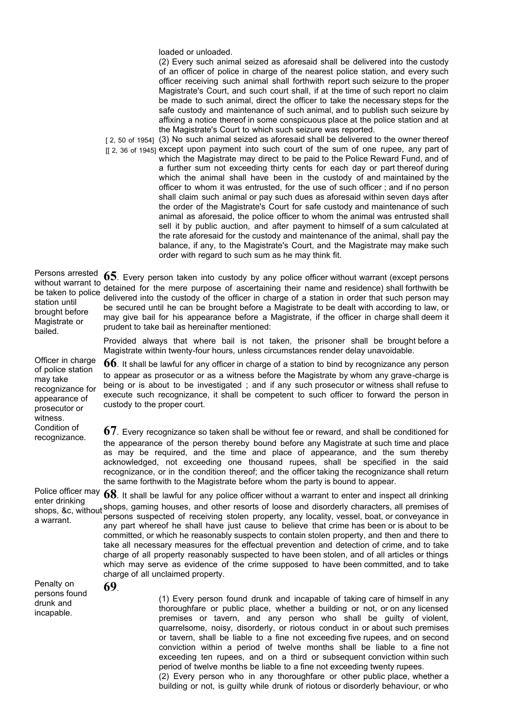loaded or unloaded.

(2) Every such animal seized as aforesaid shall be delivered into the custody of an officer of police in charge of the nearest police station, and every such officer receiving such animal shall forthwith report such seizure to the proper Magistrate's Court, and such court shall, if at the time of such report no claim be made to such animal, direct the officer to take the necessary steps for the safe custody and maintenance of such animal, and to publish such seizure by affixing a notice thereof in some conspicuous place at the police station and at the Magistrate's Court to which such seizure was reported.

[2, 50 of 1954] (3) No such animal seized as aforesaid shall be delivered to the owner thereof [[ 2, 36 of 1945] except upon payment into such court of the sum of one rupee, any part of which the Magistrate may direct to be paid to the Police Reward Fund, and of a further sum not exceeding thirty cents for each day or part thereof during which the animal shall have been in the custody of and maintained by the officer to whom it was entrusted, for the use of such officer ; and if no person shall claim such animal or pay such dues as aforesaid within seven days after the order of the Magistrate's Court for safe custody and maintenance of such animal as aforesaid, the police officer to whom the animal was entrusted shall sell it by public auction, and after payment to himself of a sum calculated at the rate aforesaid for the custody and maintenance of the animal, shall pay the balance, if any, to the Magistrate's Court, and the Magistrate may make such order with regard to such sum as he may think fit.

Persons arrested 65. Every person taken into custody by any police officer without warrant (except persons without warrant to which warrant to detained for the mere purpose of ascertaining their name and residence) shall forthwith be between the second part of the second part of the second part of the second part of the second part of the second station until brought before Magistrate or bailed. delivered into the custody of the officer in charge of a station in order that such person may be secured until he can be brought before a Magistrate to be dealt with according to law, or may give bail for his appearance before a Magistrate, if the officer in charge shall deem it prudent to take bail as hereinafter mentioned:

> Provided always that where bail is not taken, the prisoner shall be brought before a Magistrate within twenty-four hours, unless circumstances render delay unavoidable.

> **66**. It shall be lawful for any officer in charge of a station to bind by recognizance any person to appear as prosecutor or as a witness before the Magistrate by whom any grave-charge is being or is about to be investigated ; and if any such prosecutor or witness shall refuse to execute such recognizance, it shall be competent to such officer to forward the person in custody to the proper court.

recognizance. **67**. Every recognizance so taken shall be without fee or reward, and shall be conditioned for the appearance of the person thereby bound before any Magistrate at such time and place as may be required, and the time and place of appearance, and the sum thereby acknowledged, not exceeding one thousand rupees, shall be specified in the said recognizance, or in the condition thereof; and the officer taking the recognizance shall return the same forthwith to the Magistrate before whom the party is bound to appear.

Police officer may enter drinking shops, &c, without a warrant. **68**. It shall be lawful for any police officer without a warrant to enter and inspect all drinking shops, gaming houses, and other resorts of loose and disorderly characters, all premises of persons suspected of receiving stolen property, any locality, vessel, boat, or conveyance in any part whereof he shall have just cause to believe that crime has been or is about to be committed, or which he reasonably suspects to contain stolen property, and then and there to take all necessary measures for the effectual prevention and detection of crime, and to take charge of all property reasonably suspected to have been stolen, and of all articles or things which may serve as evidence of the crime supposed to have been committed, and to take charge of all unclaimed property.

Penalty on persons found drunk and incapable.

**69**.

Officer in charge of police station may take recognizance for appearance of prosecutor or witness.

Condition of

(1) Every person found drunk and incapable of taking care of himself in any thoroughfare or public place, whether a building or not, or on any licensed premises or tavern, and any person who shall be guilty of violent, quarrelsome, noisy, disorderly, or riotous conduct in or about such premises or tavern, shall be liable to a fine not exceeding five rupees, and on second conviction within a period of twelve months shall be liable to a fine not exceeding ten rupees, and on a third or subsequent conviction within such period of twelve months be liable to a fine not exceeding twenty rupees. (2) Every person who in any thoroughfare or other public place, whether a building or not, is guilty while drunk of riotous or disorderly behaviour, or who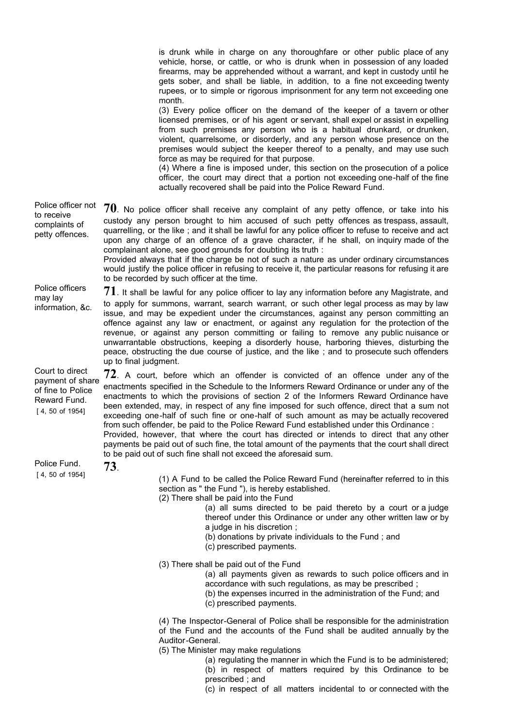is drunk while in charge on any thoroughfare or other public place of any vehicle, horse, or cattle, or who is drunk when in possession of any loaded firearms, may be apprehended without a warrant, and kept in custody until he gets sober, and shall be liable, in addition, to a fine not exceeding twenty rupees, or to simple or rigorous imprisonment for any term not exceeding one month.

(3) Every police officer on the demand of the keeper of a tavern or other licensed premises, or of his agent or servant, shall expel or assist in expelling from such premises any person who is a habitual drunkard, or drunken, violent, quarrelsome, or disorderly, and any person whose presence on the premises would subject the keeper thereof to a penalty, and may use such force as may be required for that purpose.

(4) Where a fine is imposed under, this section on the prosecution of a police officer, the court may direct that a portion not exceeding one-half of the fine actually recovered shall be paid into the Police Reward Fund.

[ 4, 50 of 1954] [ 4, 50 of 1954] Police officer not to receive complaints of petty offences. **70**. No police officer shall receive any complaint of any petty offence, or take into his custody any person brought to him accused of such petty offences as trespass, assault, quarrelling, or the like ; and it shall be lawful for any police officer to refuse to receive and act upon any charge of an offence of a grave character, if he shall, on inquiry made of the complainant alone, see good grounds for doubting its truth : Provided always that if the charge be not of such a nature as under ordinary circumstances would justify the police officer in refusing to receive it, the particular reasons for refusing it are to be recorded by such officer at the time. Police officers may lay information, &c. **71**. It shall be lawful for any police officer to lay any information before any Magistrate, and to apply for summons, warrant, search warrant, or such other legal process as may by law issue, and may be expedient under the circumstances, against any person committing an offence against any law or enactment, or against any regulation for the protection of the revenue, or against any person committing or failing to remove any public nuisance or unwarrantable obstructions, keeping a disorderly house, harboring thieves, disturbing the peace, obstructing the due course of justice, and the like ; and to prosecute such offenders up to final judgment. Court to direct payment of share of fine to Police Reward Fund. **72**. A court, before which an offender is convicted of an offence under any of the enactments specified in the Schedule to the Informers Reward Ordinance or under any of the enactments to which the provisions of section 2 of the Informers Reward Ordinance have been extended, may, in respect of any fine imposed for such offence, direct that a sum not exceeding one-half of such fine or one-half of such amount as may be actually recovered from such offender, be paid to the Police Reward Fund established under this Ordinance : Provided, however, that where the court has directed or intends to direct that any other payments be paid out of such fine, the total amount of the payments that the court shall direct to be paid out of such fine shall not exceed the aforesaid sum. Police Fund. **73**. (1) A Fund to be called the Police Reward Fund (hereinafter referred to in this section as " the Fund "), is hereby established. (2) There shall be paid into the Fund (a) all sums directed to be paid thereto by a court or a judge thereof under this Ordinance or under any other written law or by a judge in his discretion ; (b) donations by private individuals to the Fund ; and (c) prescribed payments. (3) There shall be paid out of the Fund (a) all payments given as rewards to such police officers and in accordance with such regulations, as may be prescribed ; (b) the expenses incurred in the administration of the Fund; and (c) prescribed payments. (4) The Inspector-General of Police shall be responsible for the administration of the Fund and the accounts of the Fund shall be audited annually by the Auditor-General. (5) The Minister may make regulations (a) regulating the manner in which the Fund is to be administered;

(b) in respect of matters required by this Ordinance to be prescribed ; and

(c) in respect of all matters incidental to or connected with the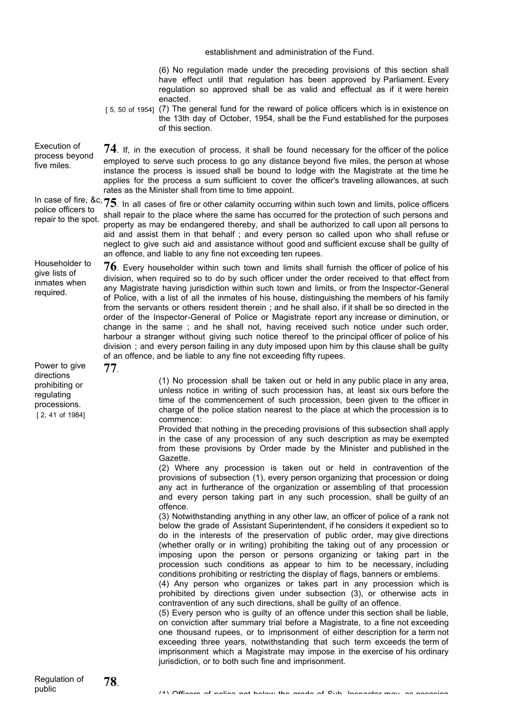[5, 50 of 1954] (7) The general fund for the reward of police officers which is in existence on [ 2, 41 of 1984] establishment and administration of the Fund. (6) No regulation made under the preceding provisions of this section shall have effect until that regulation has been approved by Parliament. Every regulation so approved shall be as valid and effectual as if it were herein enacted. the 13th day of October, 1954, shall be the Fund established for the purposes of this section. Execution of process beyond five miles. **74**. If, in the execution of process, it shall be found necessary for the officer of the police employed to serve such process to go any distance beyond five miles, the person at whose instance the process is issued shall be bound to lodge with the Magistrate at the time he applies for the process a sum sufficient to cover the officer's traveling allowances, at such rates as the Minister shall from time to time appoint. In case of fire, &c, In case of fire, &c, 75. In all cases of fire or other calamity occurring within such town and limits, police officers police of the state of the state of the state of the state of the state of the state of the state of th repair to the spot. shall repair to the place where the same has occurred for the protection of such persons and property as may be endangered thereby, and shall be authorized to call upon all persons to aid and assist them in that behalf ; and every person so called upon who shall refuse or neglect to give such aid and assistance without good and sufficient excuse shall be guilty of an offence, and liable to any fine not exceeding ten rupees. Householder to give lists of inmates when required. **76**. Every householder within such town and limits shall furnish the officer of police of his division, when required so to do by such officer under the order received to that effect from any Magistrate having jurisdiction within such town and limits, or from the Inspector-General of Police, with a list of all the inmates of his house, distinguishing the members of his family from the servants or others resident therein ; and he shall also, if it shall be so directed in the order of the Inspector-General of Police or Magistrate report any increase or diminution, or change in the same ; and he shall not, having received such notice under such order, harbour a stranger without giving such notice thereof to the principal officer of police of his division ; and every person failing in any duty imposed upon him by this clause shall be guilty of an offence, and be liable to any fine not exceeding fifty rupees. Power to give directions prohibiting or regulating processions. **77**. (1) No procession shall be taken out or held in any public place in any area, unless notice in writing of such procession has, at least six ours before the time of the commencement of such procession, been given to the officer in charge of the police station nearest to the place at which the procession is to commence: Provided that nothing in the preceding provisions of this subsection shall apply in the case of any procession of any such description as may be exempted from these provisions by Order made by the Minister and published in the Gazette. (2) Where any procession is taken out or held in contravention of the provisions of subsection (1), every person organizing that procession or doing any act in furtherance of the organization or assembling of that procession and every person taking part in any such procession, shall be guilty of an offence. (3) Notwithstanding anything in any other law, an officer of police of a rank not below the grade of Assistant Superintendent, if he considers it expedient so to do in the interests of the preservation of public order, may give directions (whether orally or in writing) prohibiting the taking out of any procession or imposing upon the person or persons organizing or taking part in the procession such conditions as appear to him to be necessary, including conditions prohibiting or restricting the display of flags, banners or emblems. (4) Any person who organizes or takes part in any procession which is prohibited by directions given under subsection (3), or otherwise acts in contravention of any such directions, shall be guilty of an offence. (5) Every person who is guilty of an offence under this section shall be liable, on conviction after summary trial before a Magistrate, to a fine not exceeding one thousand rupees, or to imprisonment of either description for a term not exceeding three years, notwithstanding that such term exceeds the term of imprisonment which a Magistrate may impose in the exercise of his ordinary jurisdiction, or to both such fine and imprisonment.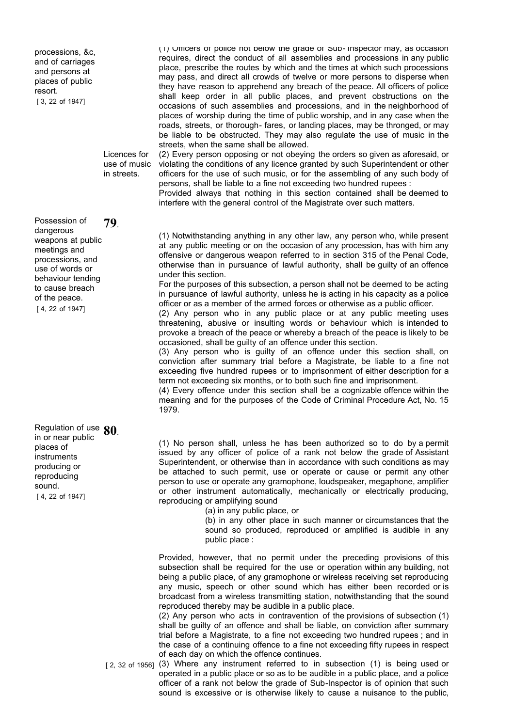processions, &c, and of carriages and persons at places of public resort.

[ 3, 22 of 1947]

Licences for use of music in streets.

[ 4, 22 of 1947] Possession of dangerous weapons at public meetings and processions, and use of words or behaviour tending to cause breach of the peace. **79**.

[ 4, 22 of 1947] Regulation of use **80**. in or near public places of instruments producing or reproducing sound.

(1) Officers of police not below the grade of Sub- Inspector may, as occasion requires, direct the conduct of all assemblies and processions in any public place, prescribe the routes by which and the times at which such processions may pass, and direct all crowds of twelve or more persons to disperse when they have reason to apprehend any breach of the peace. All officers of police shall keep order in all public places, and prevent obstructions on the occasions of such assemblies and processions, and in the neighborhood of places of worship during the time of public worship, and in any case when the roads, streets, or thorough- fares, or landing places, may be thronged, or may be liable to be obstructed. They may also regulate the use of music in the streets, when the same shall be allowed.

(2) Every person opposing or not obeying the orders so given as aforesaid, or violating the conditions of any licence granted by such Superintendent or other officers for the use of such music, or for the assembling of any such body of persons, shall be liable to a fine not exceeding two hundred rupees :

Provided always that nothing in this section contained shall be deemed to interfere with the general control of the Magistrate over such matters.

(1) Notwithstanding anything in any other law, any person who, while present at any public meeting or on the occasion of any procession, has with him any offensive or dangerous weapon referred to in section 315 of the Penal Code, otherwise than in pursuance of lawful authority, shall be guilty of an offence under this section.

For the purposes of this subsection, a person shall not be deemed to be acting in pursuance of lawful authority, unless he is acting in his capacity as a police officer or as a member of the armed forces or otherwise as a public officer.

(2) Any person who in any public place or at any public meeting uses threatening, abusive or insulting words or behaviour which is intended to provoke a breach of the peace or whereby a breach of the peace is likely to be occasioned, shall be guilty of an offence under this section.

(3) Any person who is guilty of an offence under this section shall, on conviction after summary trial before a Magistrate, be liable to a fine not exceeding five hundred rupees or to imprisonment of either description for a term not exceeding six months, or to both such fine and imprisonment.

(4) Every offence under this section shall be a cognizable offence within the meaning and for the purposes of the Code of Criminal Procedure Act, No. 15 1979.

(1) No person shall, unless he has been authorized so to do by a permit issued by any officer of police of a rank not below the grade of Assistant Superintendent, or otherwise than in accordance with such conditions as may be attached to such permit, use or operate or cause or permit any other person to use or operate any gramophone, loudspeaker, megaphone, amplifier or other instrument automatically, mechanically or electrically producing, reproducing or amplifying sound

(a) in any public place, or

(b) in any other place in such manner or circumstances that the sound so produced, reproduced or amplified is audible in any public place :

Provided, however, that no permit under the preceding provisions of this subsection shall be required for the use or operation within any building, not being a public place, of any gramophone or wireless receiving set reproducing any music, speech or other sound which has either been recorded or is broadcast from a wireless transmitting station, notwithstanding that the sound reproduced thereby may be audible in a public place.

(2) Any person who acts in contravention of the provisions of subsection (1) shall be guilty of an offence and shall be liable, on conviction after summary trial before a Magistrate, to a fine not exceeding two hundred rupees ; and in the case of a continuing offence to a fine not exceeding fifty rupees in respect of each day on which the offence continues.

[2, 32 of 1956] (3) Where any instrument referred to in subsection (1) is being used or operated in a public place or so as to be audible in a public place, and a police officer of a rank not below the grade of Sub-Inspector is of opinion that such sound is excessive or is otherwise likely to cause a nuisance to the public,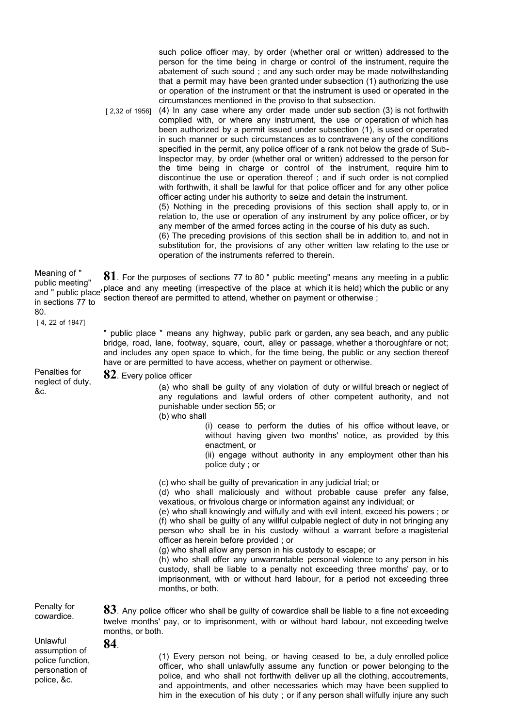such police officer may, by order (whether oral or written) addressed to the person for the time being in charge or control of the instrument, require the abatement of such sound ; and any such order may be made notwithstanding that a permit may have been granted under subsection (1) authorizing the use or operation of the instrument or that the instrument is used or operated in the circumstances mentioned in the proviso to that subsection.

[ 2,32 of 1956] (4) In any case where any order made under sub section (3) is not forthwith complied with, or where any instrument, the use or operation of which has been authorized by a permit issued under subsection (1), is used or operated in such manner or such circumstances as to contravene any of the conditions specified in the permit, any police officer of a rank not below the grade of Sub-Inspector may, by order (whether oral or written) addressed to the person for the time being in charge or control of the instrument, require him to discontinue the use or operation thereof ; and if such order is not complied with forthwith, it shall be lawful for that police officer and for any other police officer acting under his authority to seize and detain the instrument. (5) Nothing in the preceding provisions of this section shall apply to, or in relation to, the use or operation of any instrument by any police officer, or by any member of the armed forces acting in the course of his duty as such.

(6) The preceding provisions of this section shall be in addition to, and not in substitution for, the provisions of any other written law relating to the use or operation of the instruments referred to therein.

Meaning of " public meeting" public incentity<br>and " public place' place and any meeting (irrespective of the place at which it is held) which the public or any in sections 77 to **81**. For the purposes of sections 77 to 80 " public meeting" means any meeting in a public section thereof are permitted to attend, whether on payment or otherwise ;

[ 4, 22 of 1947]

80.

" public place " means any highway, public park or garden, any sea beach, and any public bridge, road, lane, footway, square, court, alley or passage, whether a thoroughfare or not; and includes any open space to which, for the time being, the public or any section thereof have or are permitted to have access, whether on payment or otherwise.

Penalties for neglect of duty, &c.

**82**. Every police officer

(a) who shall be guilty of any violation of duty or willful breach or neglect of any regulations and lawful orders of other competent authority, and not punishable under section 55; or

(b) who shall

(i) cease to perform the duties of his office without leave, or without having given two months' notice, as provided by this enactment, or

(ii) engage without authority in any employment other than his police duty ; or

(c) who shall be guilty of prevarication in any judicial trial; or

(d) who shall maliciously and without probable cause prefer any false, vexatious, or frivolous charge or information against any individual; or

(e) who shall knowingly and wilfully and with evil intent, exceed his powers ; or (f) who shall be guilty of any willful culpable neglect of duty in not bringing any person who shall be in his custody without a warrant before a magisterial officer as herein before provided ; or

(g) who shall allow any person in his custody to escape; or

twelve months' pay, or to imprisonment, with or without hard labour, not exceeding twelve

(h) who shall offer any unwarrantable personal violence to any person in his custody, shall be liable to a penalty not exceeding three months' pay, or to imprisonment, with or without hard labour, for a period not exceeding three months, or both.

Penalty for cowardice. **83**. Any police officer who shall be guilty of cowardice shall be liable to a fine not exceeding

Unlawful assumption of police function, personation of police, &c.

**84**.

months, or both.

(1) Every person not being, or having ceased to be, a duly enrolled police officer, who shall unlawfully assume any function or power belonging to the police, and who shall not forthwith deliver up all the clothing, accoutrements, and appointments, and other necessaries which may have been supplied to him in the execution of his duty ; or if any person shall wilfully injure any such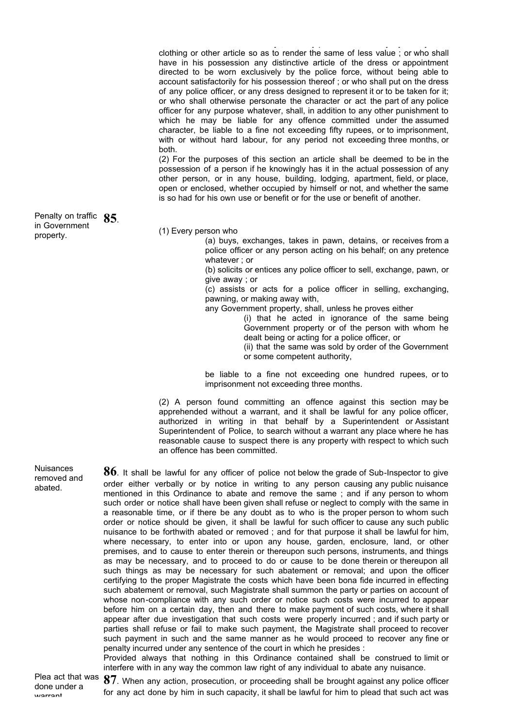him in the execution of his duty ; or if any person shall wilfully injure any such clothing or other article so as to render the same of less value ; or who shall have in his possession any distinctive article of the dress or appointment directed to be worn exclusively by the police force, without being able to account satisfactorily for his possession thereof ; or who shall put on the dress of any police officer, or any dress designed to represent it or to be taken for it; or who shall otherwise personate the character or act the part of any police officer for any purpose whatever, shall, in addition to any other punishment to which he may be liable for any offence committed under the assumed character, be liable to a fine not exceeding fifty rupees, or to imprisonment, with or without hard labour, for any period not exceeding three months, or both.

(2) For the purposes of this section an article shall be deemed to be in the possession of a person if he knowingly has it in the actual possession of any other person, or in any house, building, lodging, apartment, field, or place, open or enclosed, whether occupied by himself or not, and whether the same is so had for his own use or benefit or for the use or benefit of another.

(1) Every person who

(a) buys, exchanges, takes in pawn, detains, or receives from a police officer or any person acting on his behalf; on any pretence whatever ; or

(b) solicits or entices any police officer to sell, exchange, pawn, or give away ; or

(c) assists or acts for a police officer in selling, exchanging, pawning, or making away with,

any Government property, shall, unless he proves either

(i) that he acted in ignorance of the same being Government property or of the person with whom he dealt being or acting for a police officer, or

(ii) that the same was sold by order of the Government or some competent authority,

be liable to a fine not exceeding one hundred rupees, or to imprisonment not exceeding three months.

(2) A person found committing an offence against this section may be apprehended without a warrant, and it shall be lawful for any police officer, authorized in writing in that behalf by a Superintendent or Assistant Superintendent of Police, to search without a warrant any place where he has reasonable cause to suspect there is any property with respect to which such an offence has been committed.

**86**. It shall be lawful for any officer of police not below the grade of Sub-Inspector to give order either verbally or by notice in writing to any person causing any public nuisance mentioned in this Ordinance to abate and remove the same ; and if any person to whom such order or notice shall have been given shall refuse or neglect to comply with the same in a reasonable time, or if there be any doubt as to who is the proper person to whom such order or notice should be given, it shall be lawful for such officer to cause any such public nuisance to be forthwith abated or removed ; and for that purpose it shall be lawful for him, where necessary, to enter into or upon any house, garden, enclosure, land, or other premises, and to cause to enter therein or thereupon such persons, instruments, and things as may be necessary, and to proceed to do or cause to be done therein or thereupon all such things as may be necessary for such abatement or removal; and upon the officer certifying to the proper Magistrate the costs which have been bona fide incurred in effecting such abatement or removal, such Magistrate shall summon the party or parties on account of whose non-compliance with any such order or notice such costs were incurred to appear before him on a certain day, then and there to make payment of such costs, where it shall appear after due investigation that such costs were properly incurred ; and if such party or parties shall refuse or fail to make such payment, the Magistrate shall proceed to recover such payment in such and the same manner as he would proceed to recover any fine or penalty incurred under any sentence of the court in which he presides :

Provided always that nothing in this Ordinance contained shall be construed to limit or interfere with in any way the common law right of any individual to abate any nuisance.

**87**. When any action, prosecution, or proceeding shall be brought against any police officer for any act done by him in such capacity, it shall be lawful for him to plead that such act was

Penalty on traffic **85**. in Government property.

**Nuisances** removed and abated.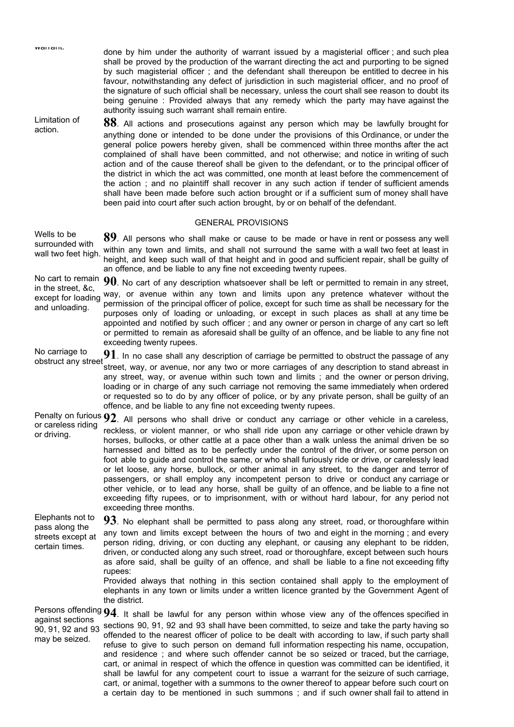| vvanant.                                                                  | done by him under the authority of warrant issued by a magisterial officer; and such plea<br>shall be proved by the production of the warrant directing the act and purporting to be signed<br>by such magisterial officer; and the defendant shall thereupon be entitled to decree in his<br>favour, notwithstanding any defect of jurisdiction in such magisterial officer, and no proof of<br>the signature of such official shall be necessary, unless the court shall see reason to doubt its<br>being genuine: Provided always that any remedy which the party may have against the<br>authority issuing such warrant shall remain entire.                                                                                                                                                                                                                                                                                      |
|---------------------------------------------------------------------------|---------------------------------------------------------------------------------------------------------------------------------------------------------------------------------------------------------------------------------------------------------------------------------------------------------------------------------------------------------------------------------------------------------------------------------------------------------------------------------------------------------------------------------------------------------------------------------------------------------------------------------------------------------------------------------------------------------------------------------------------------------------------------------------------------------------------------------------------------------------------------------------------------------------------------------------|
| Limitation of<br>action.                                                  | 88. All actions and prosecutions against any person which may be lawfully brought for<br>anything done or intended to be done under the provisions of this Ordinance, or under the<br>general police powers hereby given, shall be commenced within three months after the act<br>complained of shall have been committed, and not otherwise; and notice in writing of such<br>action and of the cause thereof shall be given to the defendant, or to the principal officer of<br>the district in which the act was committed, one month at least before the commencement of<br>the action; and no plaintiff shall recover in any such action if tender of sufficient amends<br>shall have been made before such action brought or if a sufficient sum of money shall have<br>been paid into court after such action brought, by or on behalf of the defendant.                                                                       |
|                                                                           | <b>GENERAL PROVISIONS</b>                                                                                                                                                                                                                                                                                                                                                                                                                                                                                                                                                                                                                                                                                                                                                                                                                                                                                                             |
| Wells to be<br>surrounded with<br>wall two feet high.                     | 89. All persons who shall make or cause to be made or have in rent or possess any well<br>within any town and limits, and shall not surround the same with a wall two feet at least in<br>height, and keep such wall of that height and in good and sufficient repair, shall be guilty of<br>an offence, and be liable to any fine not exceeding twenty rupees.                                                                                                                                                                                                                                                                                                                                                                                                                                                                                                                                                                       |
| in the street, &c,<br>except for loading<br>and unloading.                | No cart to remain $90$ . No cart of any description whatsoever shall be left or permitted to remain in any street,<br>way, or avenue within any town and limits upon any pretence whatever without the<br>permission of the principal officer of police, except for such time as shall be necessary for the<br>purposes only of loading or unloading, or except in such places as shall at any time be<br>appointed and notified by such officer; and any owner or person in charge of any cart so left<br>or permitted to remain as aforesaid shall be guilty of an offence, and be liable to any fine not<br>exceeding twenty rupees.                                                                                                                                                                                                                                                                                               |
| No carriage to<br>obstruct any street                                     | $91$ . In no case shall any description of carriage be permitted to obstruct the passage of any<br>street, way, or avenue, nor any two or more carriages of any description to stand abreast in<br>any street, way, or avenue within such town and limits; and the owner or person driving,<br>loading or in charge of any such carriage not removing the same immediately when ordered<br>or requested so to do by any officer of police, or by any private person, shall be guilty of an<br>offence, and be liable to any fine not exceeding twenty rupees.                                                                                                                                                                                                                                                                                                                                                                         |
| or careless riding<br>or driving.                                         | Penalty on furious $92$ . All persons who shall drive or conduct any carriage or other vehicle in a careless,<br>reckless, or violent manner, or who shall ride upon any carriage or other vehicle drawn by<br>horses, bullocks, or other cattle at a pace other than a walk unless the animal driven be so<br>harnessed and bitted as to be perfectly under the control of the driver, or some person on<br>foot able to guide and control the same, or who shall furiously ride or drive, or carelessly lead<br>or let loose, any horse, bullock, or other animal in any street, to the danger and terror of<br>passengers, or shall employ any incompetent person to drive or conduct any carriage or<br>other vehicle, or to lead any horse, shall be guilty of an offence, and be liable to a fine not<br>exceeding fifty rupees, or to imprisonment, with or without hard labour, for any period not<br>exceeding three months. |
| Elephants not to<br>pass along the<br>streets except at<br>certain times. | $93$ . No elephant shall be permitted to pass along any street, road, or thoroughfare within<br>any town and limits except between the hours of two and eight in the morning; and every<br>person riding, driving, or con ducting any elephant, or causing any elephant to be ridden,<br>driven, or conducted along any such street, road or thoroughfare, except between such hours<br>as afore said, shall be guilty of an offence, and shall be liable to a fine not exceeding fifty<br>rupees:<br>Provided always that nothing in this section contained shall apply to the employment of<br>elephants in any town or limits under a written licence granted by the Government Agent of<br>the district.                                                                                                                                                                                                                          |
| against sections<br>90, 91, 92 and 93<br>may be seized.                   | Persons offending $94$ . It shall be lawful for any person within whose view any of the offences specified in<br>sections 90, 91, 92 and 93 shall have been committed, to seize and take the party having so<br>offended to the nearest officer of police to be dealt with according to law, if such party shall<br>refuse to give to such person on demand full information respecting his name, occupation,<br>and residence; and where such offender cannot be so seized or traced, but the carriage,<br>cart, or animal in respect of which the offence in question was committed can be identified, it<br>shall be lawful for any competent court to issue a warrant for the seizure of such carriage,<br>cart, or animal, together with a summons to the owner thereof to appear before such court on<br>a certain day to be mentioned in such summons; and if such owner shall fail to attend in                               |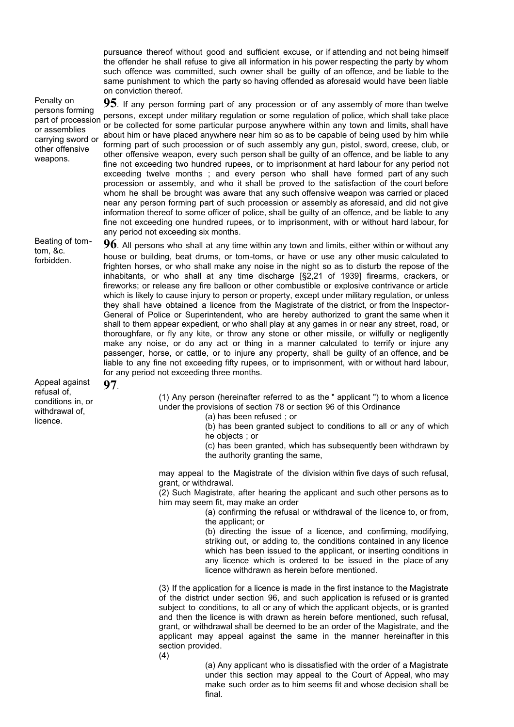pursuance thereof without good and sufficient excuse, or if attending and not being himself the offender he shall refuse to give all information in his power respecting the party by whom such offence was committed, such owner shall be guilty of an offence, and be liable to the same punishment to which the party so having offended as aforesaid would have been liable on conviction thereof.

Penalty on persons forming part of procession or assemblies carrying sword or other offensive weapons.

**95**. If any person forming part of any procession or of any assembly of more than twelve persons, except under military regulation or some regulation of police, which shall take place or be collected for some particular purpose anywhere within any town and limits, shall have about him or have placed anywhere near him so as to be capable of being used by him while forming part of such procession or of such assembly any gun, pistol, sword, creese, club, or other offensive weapon, every such person shall be guilty of an offence, and be liable to any fine not exceeding two hundred rupees, or to imprisonment at hard labour for any period not exceeding twelve months ; and every person who shall have formed part of any such procession or assembly, and who it shall be proved to the satisfaction of the court before whom he shall be brought was aware that any such offensive weapon was carried or placed near any person forming part of such procession or assembly as aforesaid, and did not give information thereof to some officer of police, shall be guilty of an offence, and be liable to any fine not exceeding one hundred rupees, or to imprisonment, with or without hard labour, for any period not exceeding six months.

Beating of tomtom, &c. forbidden.

**96**. All persons who shall at any time within any town and limits, either within or without any house or building, beat drums, or tom-toms, or have or use any other music calculated to frighten horses, or who shall make any noise in the night so as to disturb the repose of the inhabitants, or who shall at any time discharge [§2,21 of 1939] firearms, crackers, or fireworks; or release any fire balloon or other combustible or explosive contrivance or article which is likely to cause injury to person or property, except under military regulation, or unless they shall have obtained a licence from the Magistrate of the district, or from the Inspector-General of Police or Superintendent, who are hereby authorized to grant the same when it shall to them appear expedient, or who shall play at any games in or near any street, road, or thoroughfare, or fly any kite, or throw any stone or other missile, or wilfully or negligently make any noise, or do any act or thing in a manner calculated to terrify or injure any passenger, horse, or cattle, or to injure any property, shall be guilty of an offence, and be liable to any fine not exceeding fifty rupees, or to imprisonment, with or without hard labour, for any period not exceeding three months.

Appeal against refusal of, conditions in, or withdrawal of, licence.

# **97**.

(1) Any person (hereinafter referred to as the " applicant ") to whom a licence under the provisions of section 78 or section 96 of this Ordinance

(a) has been refused ; or

(b) has been granted subject to conditions to all or any of which he objects ; or

(c) has been granted, which has subsequently been withdrawn by the authority granting the same,

may appeal to the Magistrate of the division within five days of such refusal, grant, or withdrawal.

(2) Such Magistrate, after hearing the applicant and such other persons as to him may seem fit, may make an order

(a) confirming the refusal or withdrawal of the licence to, or from, the applicant; or

(b) directing the issue of a licence, and confirming, modifying, striking out, or adding to, the conditions contained in any licence which has been issued to the applicant, or inserting conditions in any licence which is ordered to be issued in the place of any licence withdrawn as herein before mentioned.

(3) If the application for a licence is made in the first instance to the Magistrate of the district under section 96, and such application is refused or is granted subject to conditions, to all or any of which the applicant objects, or is granted and then the licence is with drawn as herein before mentioned, such refusal, grant, or withdrawal shall be deemed to be an order of the Magistrate, and the applicant may appeal against the same in the manner hereinafter in this section provided.

(4)

(a) Any applicant who is dissatisfied with the order of a Magistrate under this section may appeal to the Court of Appeal, who may make such order as to him seems fit and whose decision shall be final.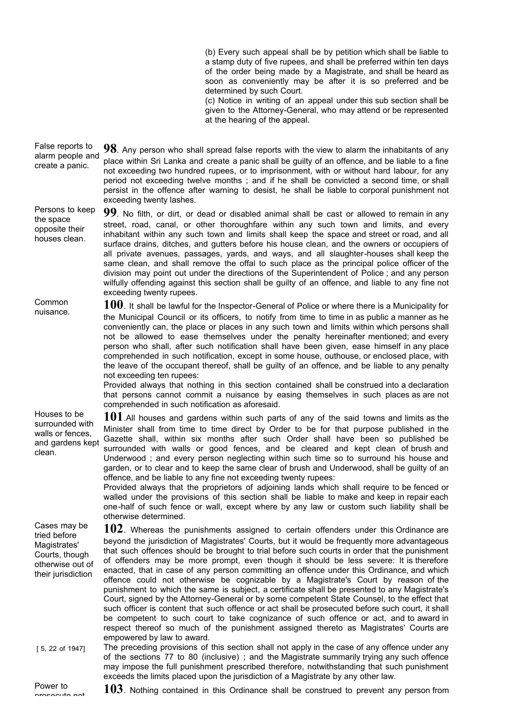(b) Every such appeal shall be by petition which shall be liable to a stamp duty of five rupees, and shall be preferred within ten days of the order being made by a Magistrate, and shall be heard as soon as conveniently may be after it is so preferred and be determined by such Court.

(c) Notice in writing of an appeal under this sub section shall be given to the Attorney-General, who may attend or be represented at the hearing of the appeal.

False reports to alarm people and create a panic. **98**. Any person who shall spread false reports with the view to alarm the inhabitants of any place within Sri Lanka and create a panic shall be guilty of an offence, and be liable to a fine not exceeding two hundred rupees, or to imprisonment, with or without hard labour, for any period not exceeding twelve months ; and if he shall be convicted a second time, or shall persist in the offence after warning to desist, he shall be liable to corporal punishment not exceeding twenty lashes.

Persons to keep opposite their houses clean. **99**. No filth, or dirt, or dead or disabled animal shall be cast or allowed to remain in any street, road, canal, or other thoroughfare within any such town and limits, and every inhabitant within any such town and limits shall keep the space and street or road, and all surface drains, ditches, and gutters before his house clean, and the owners or occupiers of all private avenues, passages, yards, and ways, and all slaughter-houses shall keep the same clean, and shall remove the offal to such place as the principal police officer of the division may point out under the directions of the Superintendent of Police ; and any person wilfully offending against this section shall be guilty of an offence, and liable to any fine not exceeding twenty rupees.

Common nuisance. **100**. It shall be lawful for the Inspector-General of Police or where there is a Municipality for the Municipal Council or its officers, to notify from time to time in as public a manner as he conveniently can, the place or places in any such town and limits within which persons shall not be allowed to ease themselves under the penalty hereinafter mentioned; and every person who shall, after such notification shall have been given, ease himself in any place comprehended in such notification, except in some house, outhouse, or enclosed place, with the leave of the occupant thereof, shall be guilty of an offence, and be liable to any penalty not exceeding ten rupees:

Provided always that nothing in this section contained shall be construed into a declaration that persons cannot commit a nuisance by easing themselves in such places as are not comprehended in such notification as aforesaid.

and gardens kept **101**.All houses and gardens within such parts of any of the said towns and limits as the Minister shall from time to time direct by Order to be for that purpose published in the Gazette shall, within six months after such Order shall have been so published be surrounded with walls or good fences, and be cleared and kept clean of brush and Underwood ; and every person neglecting within such time so to surround his house and garden, or to clear and to keep the same clear of brush and Underwood, shall be guilty of an offence, and be liable to any fine not exceeding twenty rupees:

> Provided always that the proprietors of adjoining lands which shall require to be fenced or walled under the provisions of this section shall be liable to make and keep in repair each one-half of such fence or wall, except where by any law or custom such liability shall be otherwise determined.

Cases may be tried before Magistrates' Courts, though otherwise out of their jurisdiction **102**. Whereas the punishments assigned to certain offenders under this Ordinance are beyond the jurisdiction of Magistrates' Courts, but it would be frequently more advantageous that such offences should be brought to trial before such courts in order that the punishment of offenders may be more prompt, even though it should be less severe: It is therefore enacted, that in case of any person committing an offence under this Ordinance, and which offence could not otherwise be cognizable by a Magistrate's Court by reason of the punishment to which the same is subject, a certificate shall be presented to any Magistrate's Court, signed by the Attorney-General or by some competent State Counsel, to the effect that such officer is content that such offence or act shall be prosecuted before such court, it shall be competent to such court to take cognizance of such offence or act, and to award in respect thereof so much of the punishment assigned thereto as Magistrates' Courts are empowered by law to award.

[ 5, 22 of 1947] The preceding provisions of this section shall not apply in the case of any offence under any of the sections 77 to 80 (inclusive) ; and the Magistrate summarily trying any such offence may impose the full punishment prescribed therefore, notwithstanding that such punishment exceeds the limits placed upon the jurisdiction of a Magistrate by any other law.

the space

Houses to be surrounded with walls or fences,

clean.

prosecute not **103**. Nothing contained in this Ordinance shall be construed to prevent any person from